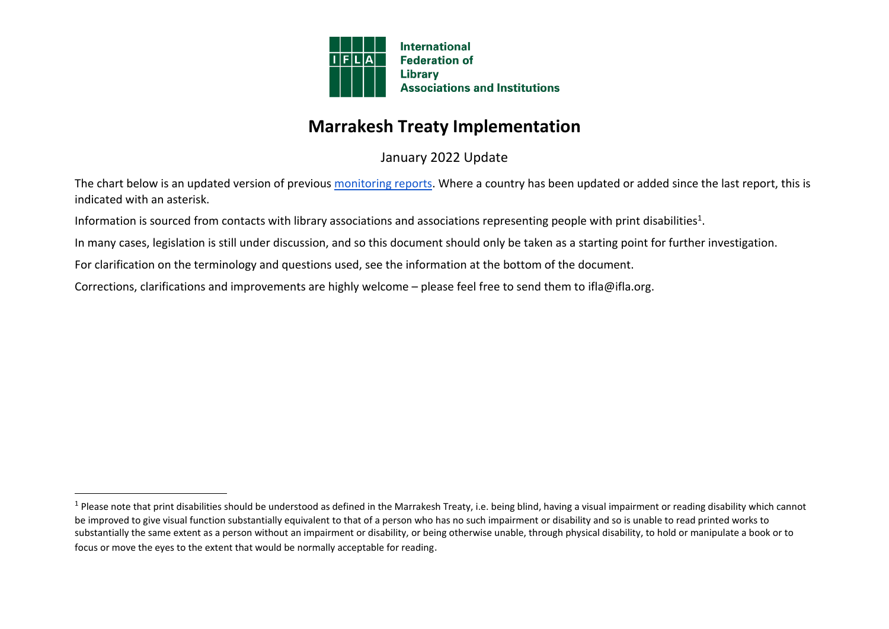

## **Marrakesh Treaty Implementation**

January 2022 Update

The chart below is an updated version of previous [monitoring reports.](https://www.ifla.org/publications/node/81925) Where a country has been updated or added since the last report, this is indicated with an asterisk.

Information is sourced from contacts with library associations and associations representing people with print disabilities<sup>1</sup>.

In many cases, legislation is still under discussion, and so this document should only be taken as a starting point for further investigation.

For clarification on the terminology and questions used, see the information at the [bottom of the document.](about:blank)

Corrections, clarifications and improvements are highly welcome – please feel free to send them to ifla@ifla.org.

 $^1$  Please note that print disabilities should be understood as defined in the Marrakesh Treaty, i.e. being blind, having a visual impairment or reading disability which cannot be improved to give visual function substantially equivalent to that of a person who has no such impairment or disability and so is unable to read printed works to substantially the same extent as a person without an impairment or disability, or being otherwise unable, through physical disability, to hold or manipulate a book or to focus or move the eyes to the extent that would be normally acceptable for reading.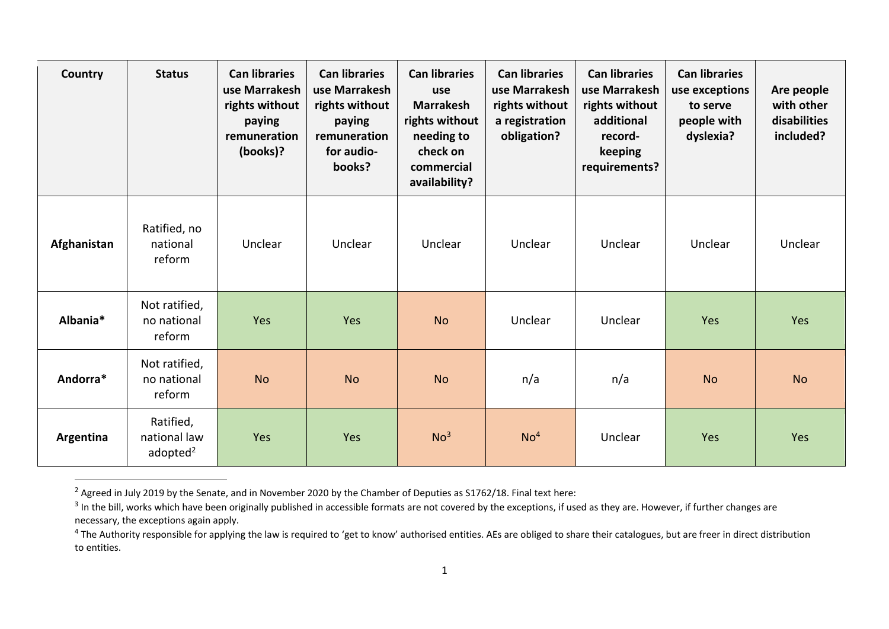| Country     | <b>Status</b>                            | <b>Can libraries</b><br>use Marrakesh<br>rights without<br>paying<br>remuneration<br>(books)? | <b>Can libraries</b><br>use Marrakesh<br>rights without<br>paying<br>remuneration<br>for audio-<br>books? | <b>Can libraries</b><br>use<br><b>Marrakesh</b><br>rights without<br>needing to<br>check on<br>commercial<br>availability? | <b>Can libraries</b><br>use Marrakesh<br>rights without<br>a registration<br>obligation? | <b>Can libraries</b><br>use Marrakesh<br>rights without<br>additional<br>record-<br>keeping<br>requirements? | <b>Can libraries</b><br>use exceptions<br>to serve<br>people with<br>dyslexia? | Are people<br>with other<br>disabilities<br>included? |
|-------------|------------------------------------------|-----------------------------------------------------------------------------------------------|-----------------------------------------------------------------------------------------------------------|----------------------------------------------------------------------------------------------------------------------------|------------------------------------------------------------------------------------------|--------------------------------------------------------------------------------------------------------------|--------------------------------------------------------------------------------|-------------------------------------------------------|
| Afghanistan | Ratified, no<br>national<br>reform       | Unclear                                                                                       | Unclear                                                                                                   | Unclear                                                                                                                    | Unclear                                                                                  | Unclear                                                                                                      | Unclear                                                                        | Unclear                                               |
| Albania*    | Not ratified,<br>no national<br>reform   | Yes                                                                                           | Yes                                                                                                       | <b>No</b>                                                                                                                  | Unclear                                                                                  | Unclear                                                                                                      | Yes                                                                            | Yes                                                   |
| Andorra*    | Not ratified,<br>no national<br>reform   | <b>No</b>                                                                                     | <b>No</b>                                                                                                 | <b>No</b>                                                                                                                  | n/a                                                                                      | n/a                                                                                                          | <b>No</b>                                                                      | <b>No</b>                                             |
| Argentina   | Ratified,<br>national law<br>adopted $2$ | Yes                                                                                           | Yes                                                                                                       | No <sup>3</sup>                                                                                                            | No <sup>4</sup>                                                                          | Unclear                                                                                                      | Yes                                                                            | Yes                                                   |

<sup>&</sup>lt;sup>2</sup> Agreed in July 2019 by the Senate, and in November 2020 by the Chamber of Deputies as S1762/18. Final text here:

 $^3$  In the bill, works which have been originally published in accessible formats are not covered by the exceptions, if used as they are. However, if further changes are necessary, the exceptions again apply.

<sup>&</sup>lt;sup>4</sup> The Authority responsible for applying the law is required to 'get to know' authorised entities. AEs are obliged to share their catalogues, but are freer in direct distribution to entities.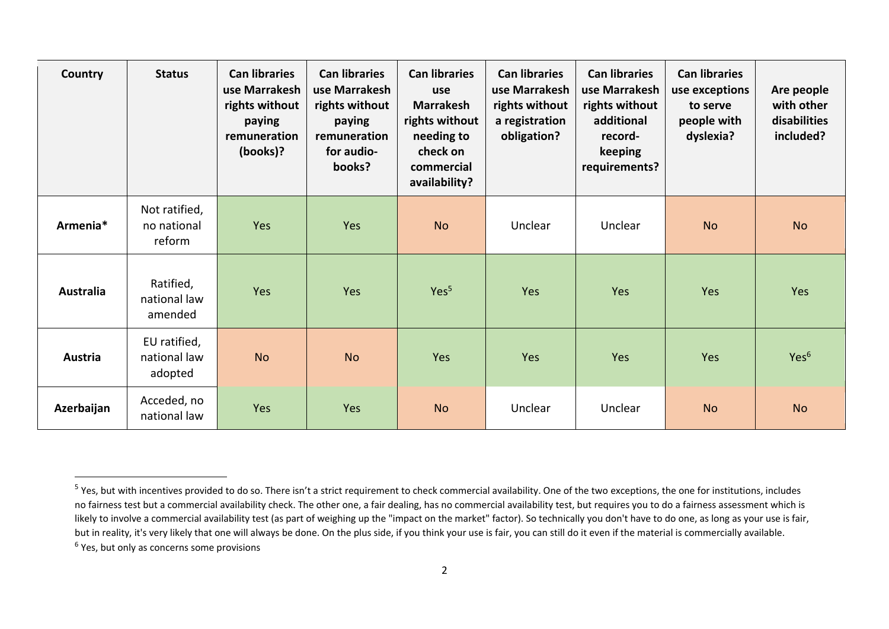| Country          | <b>Status</b>                           | <b>Can libraries</b><br>use Marrakesh<br>rights without<br>paying<br>remuneration<br>(books)? | <b>Can libraries</b><br>use Marrakesh<br>rights without<br>paying<br>remuneration<br>for audio-<br>books? | <b>Can libraries</b><br>use<br><b>Marrakesh</b><br>rights without<br>needing to<br>check on<br>commercial<br>availability? | <b>Can libraries</b><br>use Marrakesh<br>rights without<br>a registration<br>obligation? | <b>Can libraries</b><br>use Marrakesh<br>rights without<br>additional<br>record-<br>keeping<br>requirements? | <b>Can libraries</b><br>use exceptions<br>to serve<br>people with<br>dyslexia? | Are people<br>with other<br>disabilities<br>included? |
|------------------|-----------------------------------------|-----------------------------------------------------------------------------------------------|-----------------------------------------------------------------------------------------------------------|----------------------------------------------------------------------------------------------------------------------------|------------------------------------------------------------------------------------------|--------------------------------------------------------------------------------------------------------------|--------------------------------------------------------------------------------|-------------------------------------------------------|
| Armenia*         | Not ratified,<br>no national<br>reform  | Yes                                                                                           | Yes                                                                                                       | <b>No</b>                                                                                                                  | Unclear                                                                                  | Unclear                                                                                                      | <b>No</b>                                                                      | <b>No</b>                                             |
| <b>Australia</b> | Ratified,<br>national law<br>amended    | Yes                                                                                           | Yes                                                                                                       | Yes <sup>5</sup>                                                                                                           | Yes                                                                                      | Yes                                                                                                          | Yes                                                                            | Yes                                                   |
| Austria          | EU ratified,<br>national law<br>adopted | <b>No</b>                                                                                     | <b>No</b>                                                                                                 | Yes                                                                                                                        | Yes                                                                                      | Yes                                                                                                          | Yes                                                                            | Yes <sup>6</sup>                                      |
| Azerbaijan       | Acceded, no<br>national law             | Yes                                                                                           | Yes                                                                                                       | <b>No</b>                                                                                                                  | Unclear                                                                                  | Unclear                                                                                                      | <b>No</b>                                                                      | <b>No</b>                                             |

<sup>&</sup>lt;sup>5</sup> Yes, but with incentives provided to do so. There isn't a strict requirement to check commercial availability. One of the two exceptions, the one for institutions, includes no fairness test but a commercial availability check. The other one, a fair dealing, has no commercial availability test, but requires you to do a fairness assessment which is likely to involve a commercial availability test (as part of weighing up the "impact on the market" factor). So technically you don't have to do one, as long as your use is fair, but in reality, it's very likely that one will always be done. On the plus side, if you think your use is fair, you can still do it even if the material is commercially available. <sup>6</sup> Yes, but only as concerns some provisions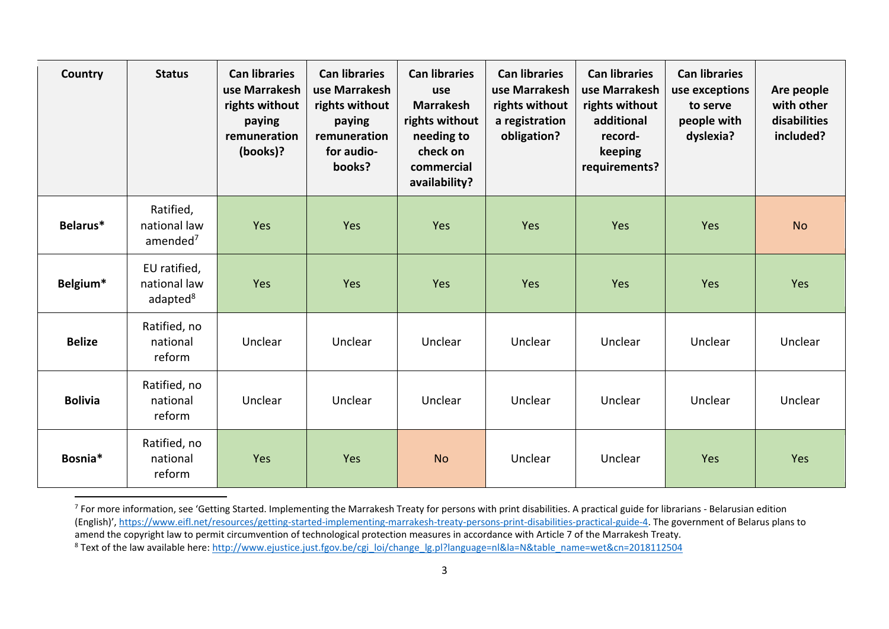| Country        | <b>Status</b>                                        | <b>Can libraries</b><br>use Marrakesh<br>rights without<br>paying<br>remuneration<br>(books)? | <b>Can libraries</b><br>use Marrakesh<br>rights without<br>paying<br>remuneration<br>for audio-<br>books? | <b>Can libraries</b><br>use<br><b>Marrakesh</b><br>rights without<br>needing to<br>check on<br>commercial<br>availability? | <b>Can libraries</b><br>use Marrakesh<br>rights without<br>a registration<br>obligation? | <b>Can libraries</b><br>use Marrakesh<br>rights without<br>additional<br>record-<br>keeping<br>requirements? | <b>Can libraries</b><br>use exceptions<br>to serve<br>people with<br>dyslexia? | Are people<br>with other<br>disabilities<br>included? |
|----------------|------------------------------------------------------|-----------------------------------------------------------------------------------------------|-----------------------------------------------------------------------------------------------------------|----------------------------------------------------------------------------------------------------------------------------|------------------------------------------------------------------------------------------|--------------------------------------------------------------------------------------------------------------|--------------------------------------------------------------------------------|-------------------------------------------------------|
| Belarus*       | Ratified,<br>national law<br>amended <sup>7</sup>    | Yes                                                                                           | Yes                                                                                                       | Yes                                                                                                                        | Yes                                                                                      | Yes                                                                                                          | Yes                                                                            | <b>No</b>                                             |
| Belgium*       | EU ratified,<br>national law<br>adapted <sup>8</sup> | Yes                                                                                           | Yes                                                                                                       | Yes                                                                                                                        | Yes                                                                                      | Yes                                                                                                          | Yes                                                                            | Yes                                                   |
| <b>Belize</b>  | Ratified, no<br>national<br>reform                   | Unclear                                                                                       | Unclear                                                                                                   | Unclear                                                                                                                    | Unclear                                                                                  | Unclear                                                                                                      | Unclear                                                                        | Unclear                                               |
| <b>Bolivia</b> | Ratified, no<br>national<br>reform                   | Unclear                                                                                       | Unclear                                                                                                   | Unclear                                                                                                                    | Unclear                                                                                  | Unclear                                                                                                      | Unclear                                                                        | Unclear                                               |
| Bosnia*        | Ratified, no<br>national<br>reform                   | Yes                                                                                           | Yes                                                                                                       | <b>No</b>                                                                                                                  | Unclear                                                                                  | Unclear                                                                                                      | Yes                                                                            | Yes                                                   |

 $^7$  For more information, see 'Getting Started. Implementing the Marrakesh Treaty for persons with print disabilities. A practical guide for librarians - Belarusian edition (English)', [https://www.eifl.net/resources/getting-started-implementing-marrakesh-treaty-persons-print-disabilities-practical-guide-4.](https://www.eifl.net/resources/getting-started-implementing-marrakesh-treaty-persons-print-disabilities-practical-guide-4) The government of Belarus plans to amend the copyright law to permit circumvention of technological protection measures in accordance with Article 7 of the Marrakesh Treaty. <sup>8</sup> Text of the law available here: [http://www.ejustice.just.fgov.be/cgi\\_loi/change\\_lg.pl?language=nl&la=N&table\\_name=wet&cn=2018112504](http://www.ejustice.just.fgov.be/cgi_loi/change_lg.pl?language=nl&la=N&table_name=wet&cn=2018112504)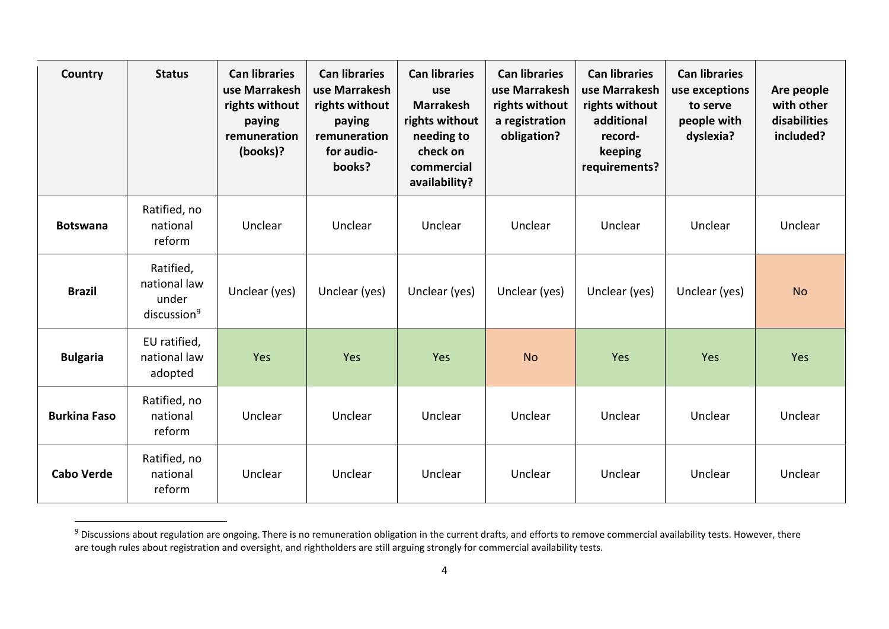| Country             | <b>Status</b>                                                 | <b>Can libraries</b><br>use Marrakesh<br>rights without<br>paying<br>remuneration<br>(books)? | <b>Can libraries</b><br>use Marrakesh<br>rights without<br>paying<br>remuneration<br>for audio-<br>books? | <b>Can libraries</b><br>use<br><b>Marrakesh</b><br>rights without<br>needing to<br>check on<br>commercial<br>availability? | <b>Can libraries</b><br>use Marrakesh<br>rights without<br>a registration<br>obligation? | <b>Can libraries</b><br>use Marrakesh<br>rights without<br>additional<br>record-<br>keeping<br>requirements? | <b>Can libraries</b><br>use exceptions<br>to serve<br>people with<br>dyslexia? | Are people<br>with other<br>disabilities<br>included? |
|---------------------|---------------------------------------------------------------|-----------------------------------------------------------------------------------------------|-----------------------------------------------------------------------------------------------------------|----------------------------------------------------------------------------------------------------------------------------|------------------------------------------------------------------------------------------|--------------------------------------------------------------------------------------------------------------|--------------------------------------------------------------------------------|-------------------------------------------------------|
| <b>Botswana</b>     | Ratified, no<br>national<br>reform                            | Unclear                                                                                       | Unclear                                                                                                   | Unclear                                                                                                                    | Unclear                                                                                  | Unclear                                                                                                      | Unclear                                                                        | Unclear                                               |
| <b>Brazil</b>       | Ratified,<br>national law<br>under<br>discussion <sup>9</sup> | Unclear (yes)                                                                                 | Unclear (yes)                                                                                             | Unclear (yes)                                                                                                              | Unclear (yes)                                                                            | Unclear (yes)                                                                                                | Unclear (yes)                                                                  | <b>No</b>                                             |
| <b>Bulgaria</b>     | EU ratified,<br>national law<br>adopted                       | Yes                                                                                           | Yes                                                                                                       | Yes                                                                                                                        | <b>No</b>                                                                                | Yes                                                                                                          | Yes                                                                            | Yes                                                   |
| <b>Burkina Faso</b> | Ratified, no<br>national<br>reform                            | Unclear                                                                                       | Unclear                                                                                                   | Unclear                                                                                                                    | Unclear                                                                                  | Unclear                                                                                                      | Unclear                                                                        | Unclear                                               |
| <b>Cabo Verde</b>   | Ratified, no<br>national<br>reform                            | Unclear                                                                                       | Unclear                                                                                                   | Unclear                                                                                                                    | Unclear                                                                                  | Unclear                                                                                                      | Unclear                                                                        | Unclear                                               |

<sup>&</sup>lt;sup>9</sup> Discussions about regulation are ongoing. There is no remuneration obligation in the current drafts, and efforts to remove commercial availability tests. However, there are tough rules about registration and oversight, and rightholders are still arguing strongly for commercial availability tests.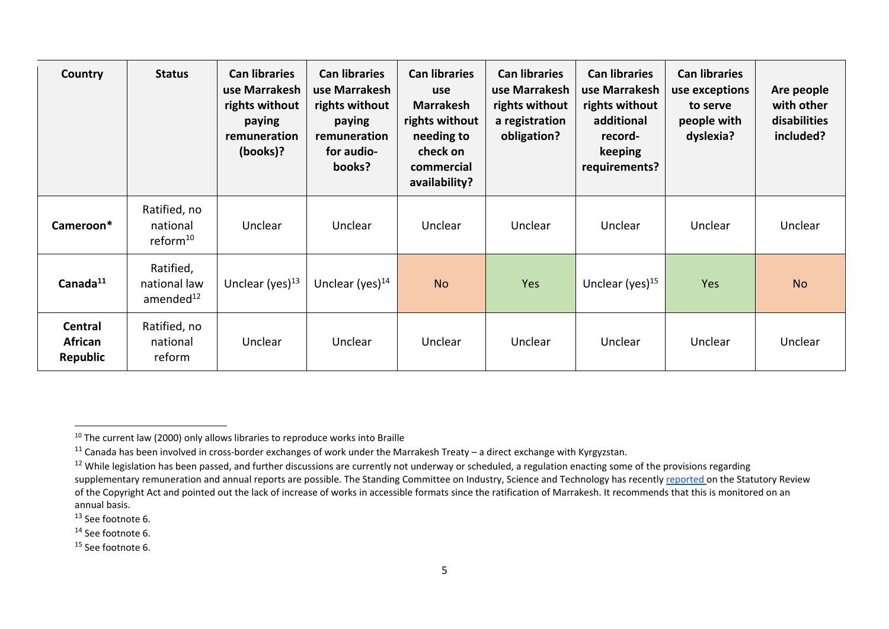| Country                                      | <b>Status</b>                                      | <b>Can libraries</b><br>use Marrakesh<br>rights without<br>paying<br>remuneration<br>(books)? | <b>Can libraries</b><br>use Marrakesh<br>rights without<br>paying<br>remuneration<br>for audio-<br>books? | <b>Can libraries</b><br>use<br><b>Marrakesh</b><br>rights without<br>needing to<br>check on<br>commercial<br>availability? | <b>Can libraries</b><br>use Marrakesh<br>rights without<br>a registration<br>obligation? | <b>Can libraries</b><br>use Marrakesh<br>rights without<br>additional<br>record-<br>keeping<br>requirements? | <b>Can libraries</b><br>use exceptions<br>to serve<br>people with<br>dyslexia? | Are people<br>with other<br>disabilities<br>included? |
|----------------------------------------------|----------------------------------------------------|-----------------------------------------------------------------------------------------------|-----------------------------------------------------------------------------------------------------------|----------------------------------------------------------------------------------------------------------------------------|------------------------------------------------------------------------------------------|--------------------------------------------------------------------------------------------------------------|--------------------------------------------------------------------------------|-------------------------------------------------------|
| Cameroon*                                    | Ratified, no<br>national<br>reform <sup>10</sup>   | Unclear                                                                                       | Unclear                                                                                                   | Unclear                                                                                                                    | Unclear                                                                                  | Unclear                                                                                                      | Unclear                                                                        | Unclear                                               |
| Canada <sup>11</sup>                         | Ratified,<br>national law<br>amended <sup>12</sup> | Unclear (yes) $^{13}$                                                                         | Unclear (yes) $^{14}$                                                                                     | <b>No</b>                                                                                                                  | Yes                                                                                      | Unclear (yes) $15$                                                                                           | Yes                                                                            | <b>No</b>                                             |
| <b>Central</b><br><b>African</b><br>Republic | Ratified, no<br>national<br>reform                 | Unclear                                                                                       | Unclear                                                                                                   | Unclear                                                                                                                    | Unclear                                                                                  | Unclear                                                                                                      | Unclear                                                                        | Unclear                                               |

<sup>13</sup> See footnote 6.

<sup>&</sup>lt;sup>10</sup> The current law (2000) only allows libraries to reproduce works into Braille

<sup>&</sup>lt;sup>11</sup> Canada has been involved in cross-border exchanges of work under the Marrakesh Treaty – a direct exchange with Kyrgyzstan.

 $12$  While legislation has been passed, and further discussions are currently not underway or scheduled, a regulation enacting some of the provisions regarding supplementary remuneration and annual reports are possible. The Standing Committee on Industry, Science and Technology has recently [reported o](https://www.ourcommons.ca/Content/Committee/421/INDU/Reports/RP10537003/indurp16/indurp16-e.pdf)n the Statutory Review of the Copyright Act and pointed out the lack of increase of works in accessible formats since the ratification of Marrakesh. It recommends that this is monitored on an annual basis.

<sup>&</sup>lt;sup>14</sup> See footnote 6.

<sup>&</sup>lt;sup>15</sup> See footnote 6.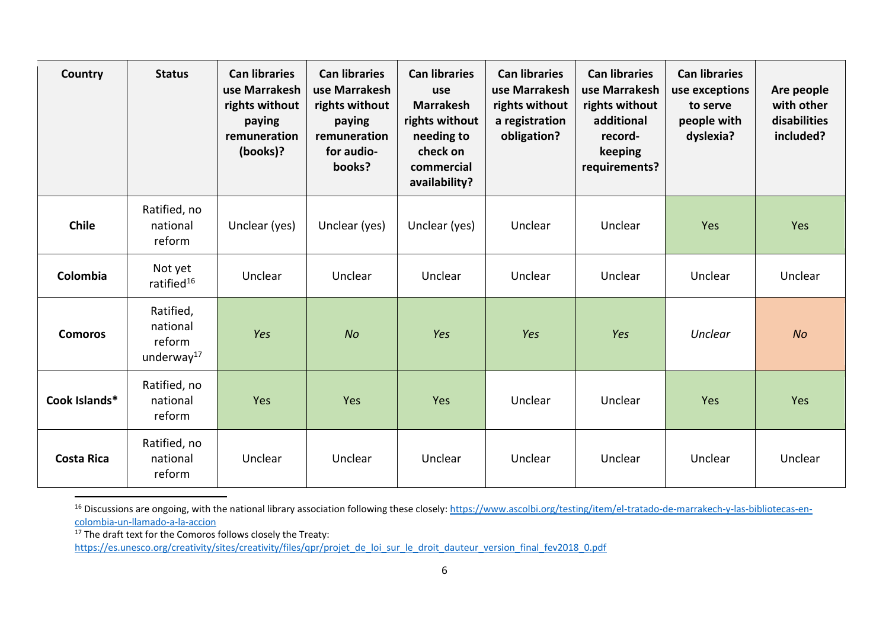| Country           | <b>Status</b>                                             | <b>Can libraries</b><br>use Marrakesh<br>rights without<br>paying<br>remuneration<br>(books)? | <b>Can libraries</b><br>use Marrakesh<br>rights without<br>paying<br>remuneration<br>for audio-<br>books? | <b>Can libraries</b><br>use<br><b>Marrakesh</b><br>rights without<br>needing to<br>check on<br>commercial<br>availability? | <b>Can libraries</b><br>use Marrakesh<br>rights without<br>a registration<br>obligation? | <b>Can libraries</b><br>use Marrakesh<br>rights without<br>additional<br>record-<br>keeping<br>requirements? | <b>Can libraries</b><br>use exceptions<br>to serve<br>people with<br>dyslexia? | Are people<br>with other<br>disabilities<br>included? |
|-------------------|-----------------------------------------------------------|-----------------------------------------------------------------------------------------------|-----------------------------------------------------------------------------------------------------------|----------------------------------------------------------------------------------------------------------------------------|------------------------------------------------------------------------------------------|--------------------------------------------------------------------------------------------------------------|--------------------------------------------------------------------------------|-------------------------------------------------------|
| <b>Chile</b>      | Ratified, no<br>national<br>reform                        | Unclear (yes)                                                                                 | Unclear (yes)                                                                                             | Unclear (yes)                                                                                                              | Unclear                                                                                  | Unclear                                                                                                      | Yes                                                                            | Yes                                                   |
| Colombia          | Not yet<br>ratified <sup>16</sup>                         | Unclear                                                                                       | Unclear                                                                                                   | Unclear                                                                                                                    | Unclear                                                                                  | Unclear                                                                                                      | Unclear                                                                        | Unclear                                               |
| <b>Comoros</b>    | Ratified,<br>national<br>reform<br>underway <sup>17</sup> | Yes                                                                                           | <b>No</b>                                                                                                 | Yes                                                                                                                        | Yes                                                                                      | Yes                                                                                                          | <b>Unclear</b>                                                                 | <b>No</b>                                             |
| Cook Islands*     | Ratified, no<br>national<br>reform                        | Yes                                                                                           | Yes                                                                                                       | Yes                                                                                                                        | Unclear                                                                                  | Unclear                                                                                                      | Yes                                                                            | Yes                                                   |
| <b>Costa Rica</b> | Ratified, no<br>national<br>reform                        | Unclear                                                                                       | Unclear                                                                                                   | Unclear                                                                                                                    | Unclear                                                                                  | Unclear                                                                                                      | Unclear                                                                        | Unclear                                               |

<sup>16</sup> Discussions are ongoing, with the national library association following these closely: [https://www.ascolbi.org/testing/item/el-tratado-de-marrakech-y-las-bibliotecas-en](https://www.ascolbi.org/testing/item/el-tratado-de-marrakech-y-las-bibliotecas-en-colombia-un-llamado-a-la-accion)[colombia-un-llamado-a-la-accion](https://www.ascolbi.org/testing/item/el-tratado-de-marrakech-y-las-bibliotecas-en-colombia-un-llamado-a-la-accion)

 $17$  The draft text for the Comoros follows closely the Treaty:

[https://es.unesco.org/creativity/sites/creativity/files/qpr/projet\\_de\\_loi\\_sur\\_le\\_droit\\_dauteur\\_version\\_final\\_fev2018\\_0.pdf](https://es.unesco.org/creativity/sites/creativity/files/qpr/projet_de_loi_sur_le_droit_dauteur_version_final_fev2018_0.pdf)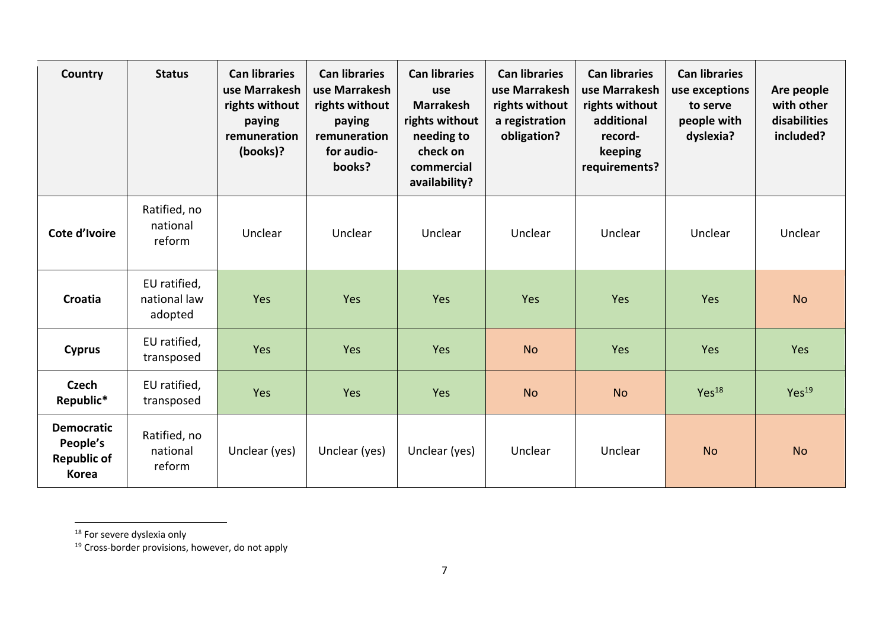| Country                                                             | <b>Status</b>                           | <b>Can libraries</b><br>use Marrakesh<br>rights without<br>paying<br>remuneration<br>(books)? | <b>Can libraries</b><br>use Marrakesh<br>rights without<br>paying<br>remuneration<br>for audio-<br>books? | <b>Can libraries</b><br>use<br><b>Marrakesh</b><br>rights without<br>needing to<br>check on<br>commercial<br>availability? | <b>Can libraries</b><br>use Marrakesh<br>rights without<br>a registration<br>obligation? | <b>Can libraries</b><br>use Marrakesh<br>rights without<br>additional<br>record-<br>keeping<br>requirements? | <b>Can libraries</b><br>use exceptions<br>to serve<br>people with<br>dyslexia? | Are people<br>with other<br>disabilities<br>included? |
|---------------------------------------------------------------------|-----------------------------------------|-----------------------------------------------------------------------------------------------|-----------------------------------------------------------------------------------------------------------|----------------------------------------------------------------------------------------------------------------------------|------------------------------------------------------------------------------------------|--------------------------------------------------------------------------------------------------------------|--------------------------------------------------------------------------------|-------------------------------------------------------|
| Cote d'Ivoire                                                       | Ratified, no<br>national<br>reform      | Unclear                                                                                       | Unclear                                                                                                   | Unclear                                                                                                                    | Unclear                                                                                  | Unclear                                                                                                      | Unclear                                                                        | Unclear                                               |
| <b>Croatia</b>                                                      | EU ratified,<br>national law<br>adopted | Yes                                                                                           | Yes                                                                                                       | Yes                                                                                                                        | Yes                                                                                      | Yes                                                                                                          | Yes                                                                            | <b>No</b>                                             |
| <b>Cyprus</b>                                                       | EU ratified,<br>transposed              | Yes                                                                                           | Yes                                                                                                       | Yes                                                                                                                        | <b>No</b>                                                                                | Yes                                                                                                          | Yes                                                                            | Yes                                                   |
| <b>Czech</b><br>Republic*                                           | EU ratified,<br>transposed              | Yes                                                                                           | Yes                                                                                                       | Yes                                                                                                                        | <b>No</b>                                                                                | <b>No</b>                                                                                                    | Yes <sup>18</sup>                                                              | Yes <sup>19</sup>                                     |
| <b>Democratic</b><br>People's<br><b>Republic of</b><br><b>Korea</b> | Ratified, no<br>national<br>reform      | Unclear (yes)                                                                                 | Unclear (yes)                                                                                             | Unclear (yes)                                                                                                              | Unclear                                                                                  | Unclear                                                                                                      | <b>No</b>                                                                      | <b>No</b>                                             |

<sup>&</sup>lt;sup>18</sup> For severe dyslexia only

<sup>&</sup>lt;sup>19</sup> Cross-border provisions, however, do not apply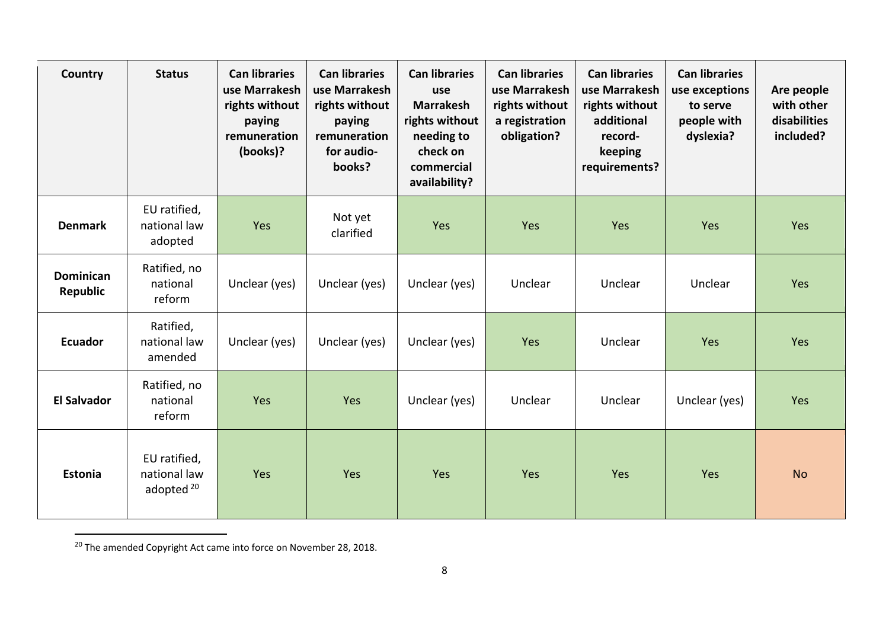| Country                      | <b>Status</b>                                         | <b>Can libraries</b><br>use Marrakesh<br>rights without<br>paying<br>remuneration<br>(books)? | <b>Can libraries</b><br>use Marrakesh<br>rights without<br>paying<br>remuneration<br>for audio-<br>books? | <b>Can libraries</b><br>use<br><b>Marrakesh</b><br>rights without<br>needing to<br>check on<br>commercial<br>availability? | <b>Can libraries</b><br>use Marrakesh<br>rights without<br>a registration<br>obligation? | <b>Can libraries</b><br>use Marrakesh<br>rights without<br>additional<br>record-<br>keeping<br>requirements? | <b>Can libraries</b><br>use exceptions<br>to serve<br>people with<br>dyslexia? | Are people<br>with other<br>disabilities<br>included? |
|------------------------------|-------------------------------------------------------|-----------------------------------------------------------------------------------------------|-----------------------------------------------------------------------------------------------------------|----------------------------------------------------------------------------------------------------------------------------|------------------------------------------------------------------------------------------|--------------------------------------------------------------------------------------------------------------|--------------------------------------------------------------------------------|-------------------------------------------------------|
| <b>Denmark</b>               | EU ratified,<br>national law<br>adopted               | Yes                                                                                           | Not yet<br>clarified                                                                                      | Yes                                                                                                                        | Yes                                                                                      | Yes                                                                                                          | Yes                                                                            | Yes                                                   |
| <b>Dominican</b><br>Republic | Ratified, no<br>national<br>reform                    | Unclear (yes)                                                                                 | Unclear (yes)                                                                                             | Unclear (yes)                                                                                                              | Unclear                                                                                  | Unclear                                                                                                      | Unclear                                                                        | Yes                                                   |
| <b>Ecuador</b>               | Ratified,<br>national law<br>amended                  | Unclear (yes)                                                                                 | Unclear (yes)                                                                                             | Unclear (yes)                                                                                                              | Yes                                                                                      | Unclear                                                                                                      | Yes                                                                            | Yes                                                   |
| <b>El Salvador</b>           | Ratified, no<br>national<br>reform                    | Yes                                                                                           | Yes                                                                                                       | Unclear (yes)                                                                                                              | Unclear                                                                                  | Unclear                                                                                                      | Unclear (yes)                                                                  | Yes                                                   |
| <b>Estonia</b>               | EU ratified,<br>national law<br>adopted <sup>20</sup> | Yes                                                                                           | Yes                                                                                                       | Yes                                                                                                                        | Yes                                                                                      | Yes                                                                                                          | Yes                                                                            | <b>No</b>                                             |

<sup>&</sup>lt;sup>20</sup> The amended Copyright Act came into force on November 28, 2018.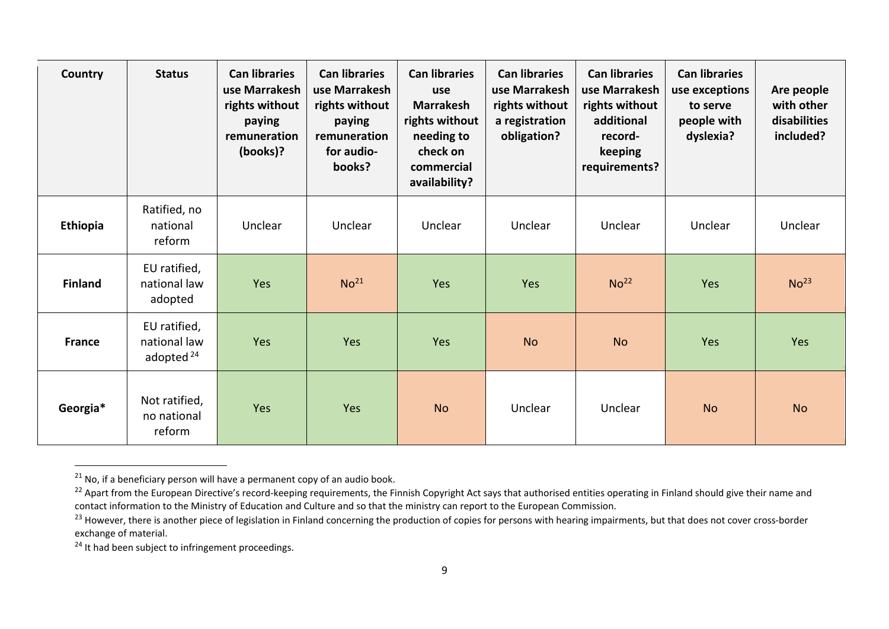| Country        | <b>Status</b>                                         | <b>Can libraries</b><br>use Marrakesh<br>rights without<br>paying<br>remuneration<br>(books)? | <b>Can libraries</b><br>use Marrakesh<br>rights without<br>paying<br>remuneration<br>for audio-<br>books? | <b>Can libraries</b><br>use<br><b>Marrakesh</b><br>rights without<br>needing to<br>check on<br>commercial<br>availability? | <b>Can libraries</b><br>use Marrakesh<br>rights without<br>a registration<br>obligation? | <b>Can libraries</b><br>use Marrakesh<br>rights without<br>additional<br>record-<br>keeping<br>requirements? | <b>Can libraries</b><br>use exceptions<br>to serve<br>people with<br>dyslexia? | Are people<br>with other<br>disabilities<br>included? |
|----------------|-------------------------------------------------------|-----------------------------------------------------------------------------------------------|-----------------------------------------------------------------------------------------------------------|----------------------------------------------------------------------------------------------------------------------------|------------------------------------------------------------------------------------------|--------------------------------------------------------------------------------------------------------------|--------------------------------------------------------------------------------|-------------------------------------------------------|
| Ethiopia       | Ratified, no<br>national<br>reform                    | Unclear                                                                                       | <b>Unclear</b>                                                                                            | Unclear                                                                                                                    | Unclear                                                                                  | Unclear                                                                                                      | Unclear                                                                        | Unclear                                               |
| <b>Finland</b> | EU ratified,<br>national law<br>adopted               | Yes                                                                                           | No <sup>21</sup>                                                                                          | Yes                                                                                                                        | Yes                                                                                      | No <sup>22</sup>                                                                                             | Yes                                                                            | No <sup>23</sup>                                      |
| <b>France</b>  | EU ratified,<br>national law<br>adopted <sup>24</sup> | Yes                                                                                           | Yes                                                                                                       | Yes                                                                                                                        | <b>No</b>                                                                                | <b>No</b>                                                                                                    | Yes                                                                            | Yes                                                   |
| Georgia*       | Not ratified,<br>no national<br>reform                | Yes                                                                                           | Yes                                                                                                       | <b>No</b>                                                                                                                  | Unclear                                                                                  | Unclear                                                                                                      | <b>No</b>                                                                      | <b>No</b>                                             |

 $21$  No, if a beneficiary person will have a permanent copy of an audio book.

<sup>&</sup>lt;sup>22</sup> Apart from the European Directive's record-keeping requirements, the Finnish Copyright Act says that authorised entities operating in Finland should give their name and contact information to the Ministry of Education and Culture and so that the ministry can report to the European Commission.

<sup>&</sup>lt;sup>23</sup> However, there is another piece of legislation in Finland concerning the production of copies for persons with hearing impairments, but that does not cover cross-border exchange of material.

<sup>&</sup>lt;sup>24</sup> It had been subject to infringement proceedings.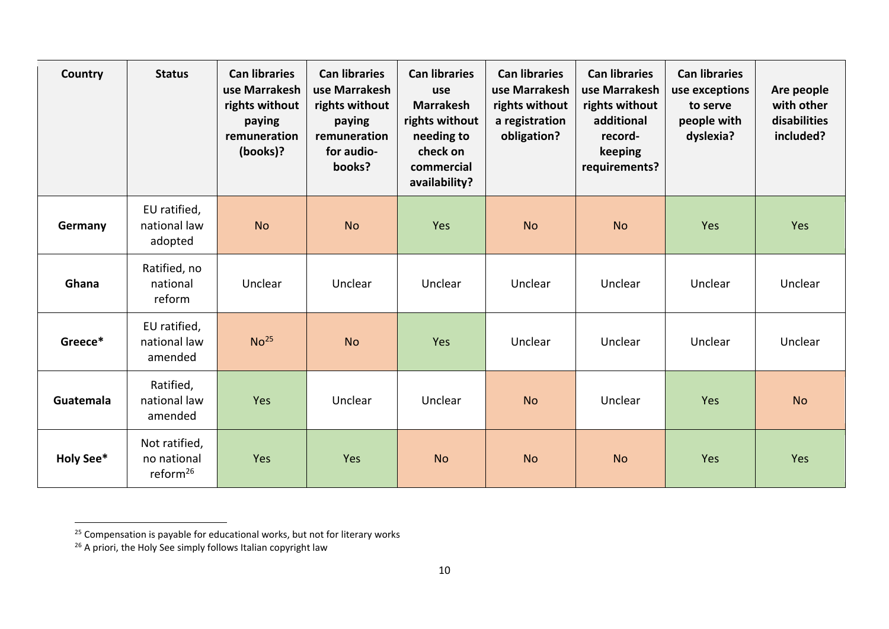| Country          | <b>Status</b>                                        | <b>Can libraries</b><br>use Marrakesh<br>rights without<br>paying<br>remuneration<br>(books)? | <b>Can libraries</b><br>use Marrakesh<br>rights without<br>paying<br>remuneration<br>for audio-<br>books? | <b>Can libraries</b><br>use<br><b>Marrakesh</b><br>rights without<br>needing to<br>check on<br>commercial<br>availability? | <b>Can libraries</b><br>use Marrakesh<br>rights without<br>a registration<br>obligation? | <b>Can libraries</b><br>use Marrakesh<br>rights without<br>additional<br>record-<br>keeping<br>requirements? | <b>Can libraries</b><br>use exceptions<br>to serve<br>people with<br>dyslexia? | Are people<br>with other<br>disabilities<br>included? |
|------------------|------------------------------------------------------|-----------------------------------------------------------------------------------------------|-----------------------------------------------------------------------------------------------------------|----------------------------------------------------------------------------------------------------------------------------|------------------------------------------------------------------------------------------|--------------------------------------------------------------------------------------------------------------|--------------------------------------------------------------------------------|-------------------------------------------------------|
| Germany          | EU ratified,<br>national law<br>adopted              | <b>No</b>                                                                                     | <b>No</b>                                                                                                 | Yes                                                                                                                        | <b>No</b>                                                                                | <b>No</b>                                                                                                    | Yes                                                                            | Yes                                                   |
| Ghana            | Ratified, no<br>national<br>reform                   | Unclear                                                                                       | Unclear                                                                                                   | Unclear                                                                                                                    | Unclear                                                                                  | Unclear                                                                                                      | Unclear                                                                        | Unclear                                               |
| Greece*          | EU ratified,<br>national law<br>amended              | No <sup>25</sup>                                                                              | <b>No</b>                                                                                                 | Yes                                                                                                                        | Unclear                                                                                  | Unclear                                                                                                      | Unclear                                                                        | Unclear                                               |
| Guatemala        | Ratified,<br>national law<br>amended                 | Yes                                                                                           | Unclear                                                                                                   | Unclear                                                                                                                    | <b>No</b>                                                                                | Unclear                                                                                                      | Yes                                                                            | <b>No</b>                                             |
| <b>Holy See*</b> | Not ratified,<br>no national<br>reform <sup>26</sup> | Yes                                                                                           | Yes                                                                                                       | <b>No</b>                                                                                                                  | <b>No</b>                                                                                | <b>No</b>                                                                                                    | Yes                                                                            | Yes                                                   |

<sup>&</sup>lt;sup>25</sup> Compensation is payable for educational works, but not for literary works

 $^{26}$  A priori, the Holy See simply follows Italian copyright law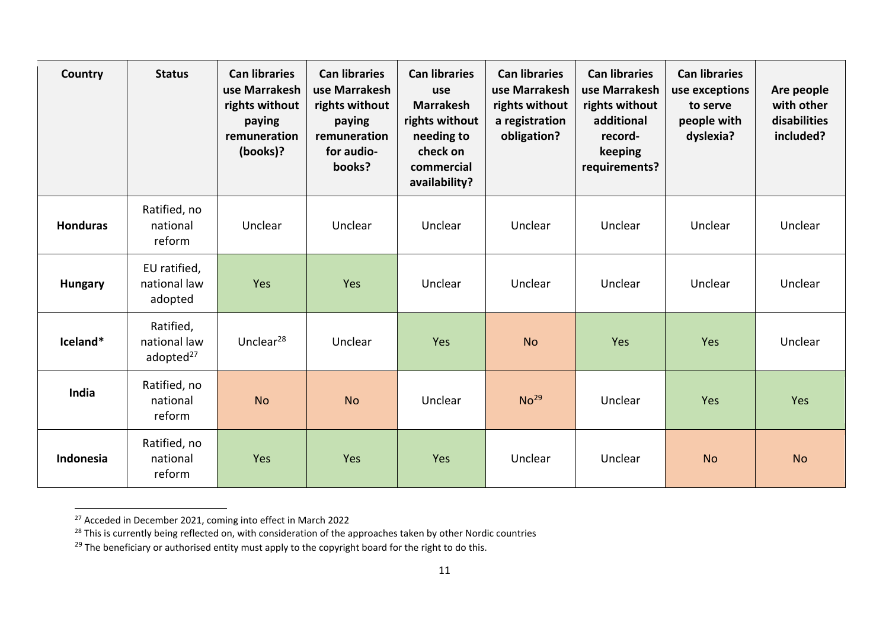| Country         | <b>Status</b>                                      | <b>Can libraries</b><br>use Marrakesh<br>rights without<br>paying<br>remuneration<br>(books)? | <b>Can libraries</b><br>use Marrakesh<br>rights without<br>paying<br>remuneration<br>for audio-<br>books? | <b>Can libraries</b><br>use<br><b>Marrakesh</b><br>rights without<br>needing to<br>check on<br>commercial<br>availability? | <b>Can libraries</b><br>use Marrakesh<br>rights without<br>a registration<br>obligation? | <b>Can libraries</b><br>use Marrakesh<br>rights without<br>additional<br>record-<br>keeping<br>requirements? | <b>Can libraries</b><br>use exceptions<br>to serve<br>people with<br>dyslexia? | Are people<br>with other<br>disabilities<br>included? |
|-----------------|----------------------------------------------------|-----------------------------------------------------------------------------------------------|-----------------------------------------------------------------------------------------------------------|----------------------------------------------------------------------------------------------------------------------------|------------------------------------------------------------------------------------------|--------------------------------------------------------------------------------------------------------------|--------------------------------------------------------------------------------|-------------------------------------------------------|
| <b>Honduras</b> | Ratified, no<br>national<br>reform                 | Unclear                                                                                       | Unclear                                                                                                   | Unclear                                                                                                                    | Unclear                                                                                  | Unclear                                                                                                      | Unclear                                                                        | Unclear                                               |
| <b>Hungary</b>  | EU ratified,<br>national law<br>adopted            | Yes                                                                                           | Yes                                                                                                       | Unclear                                                                                                                    | Unclear                                                                                  | Unclear                                                                                                      | Unclear                                                                        | Unclear                                               |
| Iceland*        | Ratified,<br>national law<br>adopted <sup>27</sup> | Unclear $^{28}$                                                                               | Unclear                                                                                                   | Yes                                                                                                                        | <b>No</b>                                                                                | Yes                                                                                                          | Yes                                                                            | Unclear                                               |
| India           | Ratified, no<br>national<br>reform                 | <b>No</b>                                                                                     | <b>No</b>                                                                                                 | Unclear                                                                                                                    | No <sup>29</sup>                                                                         | Unclear                                                                                                      | Yes                                                                            | Yes                                                   |
| Indonesia       | Ratified, no<br>national<br>reform                 | Yes                                                                                           | Yes                                                                                                       | Yes                                                                                                                        | Unclear                                                                                  | Unclear                                                                                                      | <b>No</b>                                                                      | <b>No</b>                                             |

<sup>&</sup>lt;sup>27</sup> Acceded in December 2021, coming into effect in March 2022

<sup>&</sup>lt;sup>28</sup> This is currently being reflected on, with consideration of the approaches taken by other Nordic countries

 $^{29}$  The beneficiary or authorised entity must apply to the copyright board for the right to do this.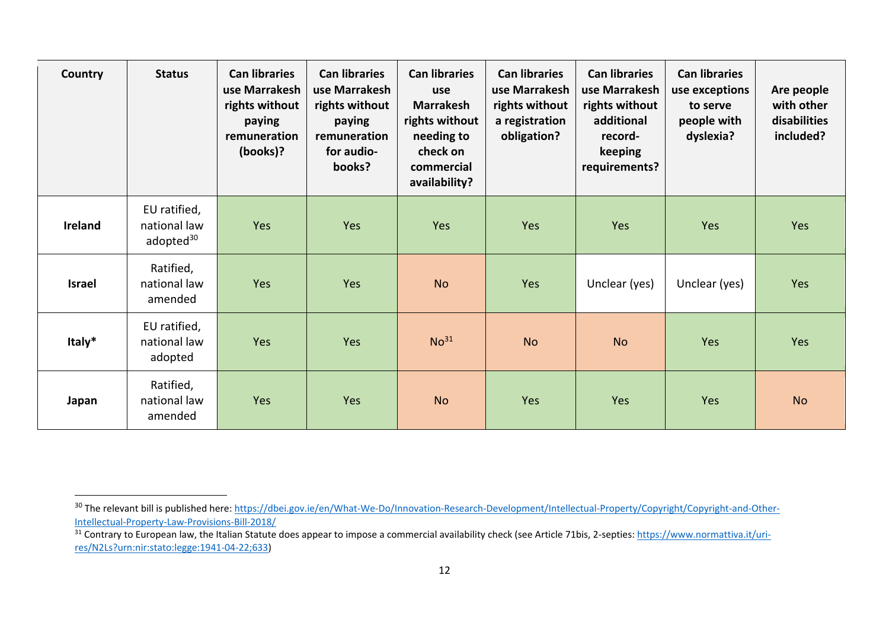| Country       | <b>Status</b>                                         | <b>Can libraries</b><br>use Marrakesh<br>rights without<br>paying<br>remuneration<br>(books)? | <b>Can libraries</b><br>use Marrakesh<br>rights without<br>paying<br>remuneration<br>for audio-<br>books? | <b>Can libraries</b><br>use<br><b>Marrakesh</b><br>rights without<br>needing to<br>check on<br>commercial<br>availability? | <b>Can libraries</b><br>use Marrakesh<br>rights without<br>a registration<br>obligation? | <b>Can libraries</b><br>use Marrakesh<br>rights without<br>additional<br>record-<br>keeping<br>requirements? | <b>Can libraries</b><br>use exceptions<br>to serve<br>people with<br>dyslexia? | Are people<br>with other<br>disabilities<br>included? |
|---------------|-------------------------------------------------------|-----------------------------------------------------------------------------------------------|-----------------------------------------------------------------------------------------------------------|----------------------------------------------------------------------------------------------------------------------------|------------------------------------------------------------------------------------------|--------------------------------------------------------------------------------------------------------------|--------------------------------------------------------------------------------|-------------------------------------------------------|
| Ireland       | EU ratified,<br>national law<br>adopted <sup>30</sup> | <b>Yes</b>                                                                                    | Yes                                                                                                       | Yes                                                                                                                        | Yes                                                                                      | Yes                                                                                                          | Yes                                                                            | Yes                                                   |
| <b>Israel</b> | Ratified,<br>national law<br>amended                  | Yes                                                                                           | Yes                                                                                                       | <b>No</b>                                                                                                                  | Yes                                                                                      | Unclear (yes)                                                                                                | Unclear (yes)                                                                  | Yes                                                   |
| Italy*        | EU ratified,<br>national law<br>adopted               | Yes                                                                                           | Yes                                                                                                       | No <sup>31</sup>                                                                                                           | <b>No</b>                                                                                | <b>No</b>                                                                                                    | Yes                                                                            | Yes                                                   |
| Japan         | Ratified,<br>national law<br>amended                  | Yes                                                                                           | Yes                                                                                                       | <b>No</b>                                                                                                                  | Yes                                                                                      | Yes                                                                                                          | Yes                                                                            | <b>No</b>                                             |

<sup>&</sup>lt;sup>30</sup> The relevant bill is published here: [https://dbei.gov.ie/en/What-We-Do/Innovation-Research-Development/Intellectual-Property/Copyright/Copyright-and-Other-](https://dbei.gov.ie/en/What-We-Do/Innovation-Research-Development/Intellectual-Property/Copyright/Copyright-and-Other-Intellectual-Property-Law-Provisions-Bill-2018/)[Intellectual-Property-Law-Provisions-Bill-2018/](https://dbei.gov.ie/en/What-We-Do/Innovation-Research-Development/Intellectual-Property/Copyright/Copyright-and-Other-Intellectual-Property-Law-Provisions-Bill-2018/)

 $\frac{31}{31}$  Contrary to European law, the Italian Statute does appear to impose a commercial availability check (see Article 71bis, 2-septies[: https://www.normattiva.it/uri](https://www.normattiva.it/uri-res/N2Ls?urn:nir:stato:legge:1941-04-22;633)[res/N2Ls?urn:nir:stato:legge:1941-04-22;633\)](https://www.normattiva.it/uri-res/N2Ls?urn:nir:stato:legge:1941-04-22;633)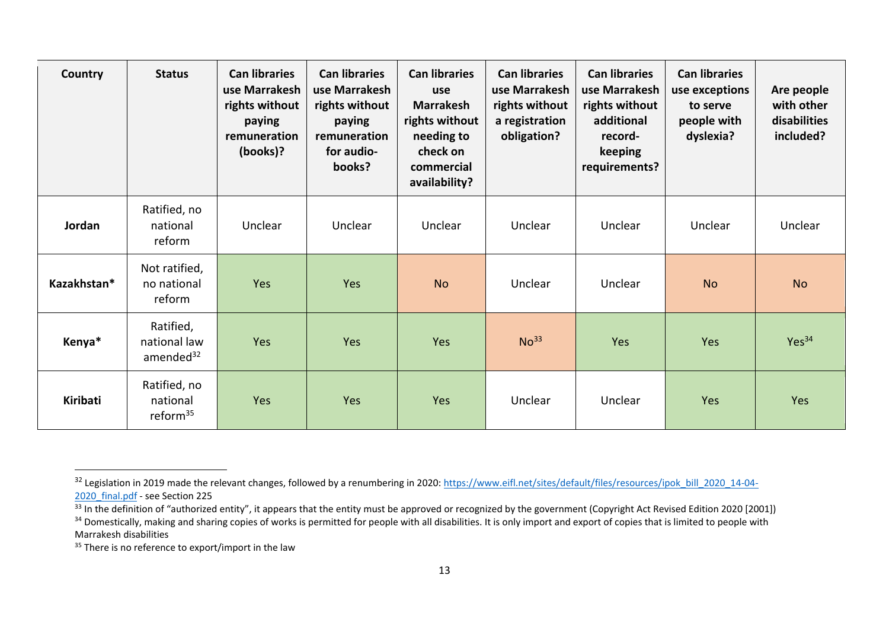| Country     | <b>Status</b>                                      | <b>Can libraries</b><br>use Marrakesh<br>rights without<br>paying<br>remuneration<br>(books)? | <b>Can libraries</b><br>use Marrakesh<br>rights without<br>paying<br>remuneration<br>for audio-<br>books? | <b>Can libraries</b><br>use<br><b>Marrakesh</b><br>rights without<br>needing to<br>check on<br>commercial<br>availability? | <b>Can libraries</b><br>use Marrakesh<br>rights without<br>a registration<br>obligation? | <b>Can libraries</b><br>use Marrakesh<br>rights without<br>additional<br>record-<br>keeping<br>requirements? | <b>Can libraries</b><br>use exceptions<br>to serve<br>people with<br>dyslexia? | Are people<br>with other<br>disabilities<br>included? |
|-------------|----------------------------------------------------|-----------------------------------------------------------------------------------------------|-----------------------------------------------------------------------------------------------------------|----------------------------------------------------------------------------------------------------------------------------|------------------------------------------------------------------------------------------|--------------------------------------------------------------------------------------------------------------|--------------------------------------------------------------------------------|-------------------------------------------------------|
| Jordan      | Ratified, no<br>national<br>reform                 | Unclear                                                                                       | Unclear                                                                                                   | Unclear                                                                                                                    | Unclear                                                                                  | Unclear                                                                                                      | Unclear                                                                        | Unclear                                               |
| Kazakhstan* | Not ratified,<br>no national<br>reform             | Yes                                                                                           | Yes                                                                                                       | <b>No</b>                                                                                                                  | Unclear                                                                                  | Unclear                                                                                                      | <b>No</b>                                                                      | <b>No</b>                                             |
| Kenya*      | Ratified,<br>national law<br>amended <sup>32</sup> | Yes                                                                                           | Yes                                                                                                       | <b>Yes</b>                                                                                                                 | No <sup>33</sup>                                                                         | Yes                                                                                                          | Yes                                                                            | Yes <sup>34</sup>                                     |
| Kiribati    | Ratified, no<br>national<br>reform <sup>35</sup>   | Yes                                                                                           | Yes                                                                                                       | Yes                                                                                                                        | Unclear                                                                                  | Unclear                                                                                                      | Yes                                                                            | Yes                                                   |

<sup>&</sup>lt;sup>32</sup> Legislation in 2019 made the relevant changes, followed by a renumbering in 2020: [https://www.eifl.net/sites/default/files/resources/ipok\\_bill\\_2020\\_14-04-](https://www.eifl.net/sites/default/files/resources/ipok_bill_2020_14-04-2020_final.pdf) 2020 final.pdf - see Section 225

 $\frac{33}{33}$  In the definition of "authorized entity", it appears that the entity must be approved or recognized by the government (Copyright Act Revised Edition 2020 [2001])

<sup>&</sup>lt;sup>34</sup> Domestically, making and sharing copies of works is permitted for people with all disabilities. It is only import and export of copies that is limited to people with Marrakesh disabilities

<sup>&</sup>lt;sup>35</sup> There is no reference to export/import in the law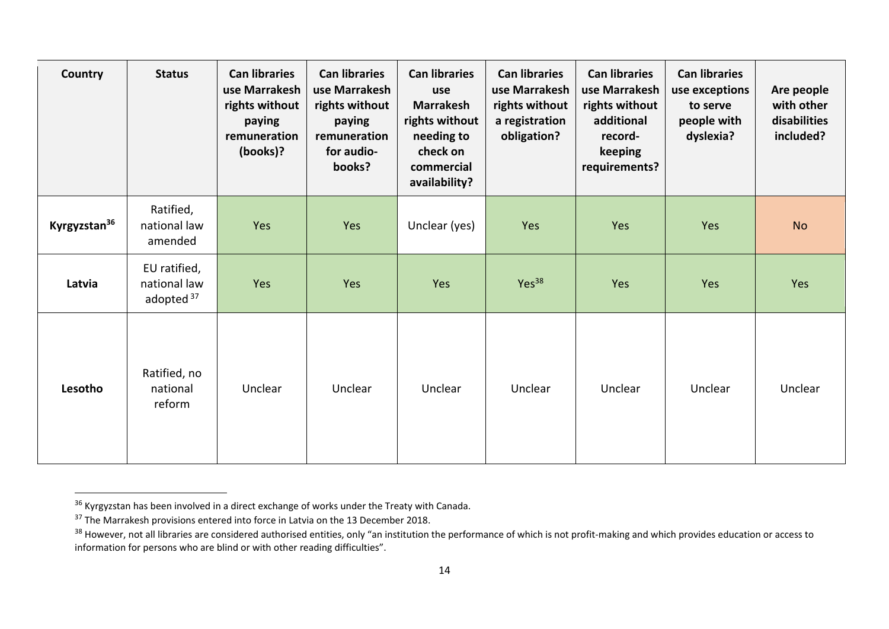| Country                  | <b>Status</b>                                         | <b>Can libraries</b><br>use Marrakesh<br>rights without<br>paying<br>remuneration<br>(books)? | <b>Can libraries</b><br>use Marrakesh<br>rights without<br>paying<br>remuneration<br>for audio-<br>books? | <b>Can libraries</b><br>use<br><b>Marrakesh</b><br>rights without<br>needing to<br>check on<br>commercial<br>availability? | <b>Can libraries</b><br>use Marrakesh<br>rights without<br>a registration<br>obligation? | <b>Can libraries</b><br>use Marrakesh<br>rights without<br>additional<br>record-<br>keeping<br>requirements? | <b>Can libraries</b><br>use exceptions<br>to serve<br>people with<br>dyslexia? | Are people<br>with other<br>disabilities<br>included? |
|--------------------------|-------------------------------------------------------|-----------------------------------------------------------------------------------------------|-----------------------------------------------------------------------------------------------------------|----------------------------------------------------------------------------------------------------------------------------|------------------------------------------------------------------------------------------|--------------------------------------------------------------------------------------------------------------|--------------------------------------------------------------------------------|-------------------------------------------------------|
| Kyrgyzstan <sup>36</sup> | Ratified,<br>national law<br>amended                  | Yes                                                                                           | Yes                                                                                                       | Unclear (yes)                                                                                                              | Yes                                                                                      | Yes                                                                                                          | Yes                                                                            | <b>No</b>                                             |
| Latvia                   | EU ratified,<br>national law<br>adopted <sup>37</sup> | Yes                                                                                           | Yes                                                                                                       | Yes                                                                                                                        | Yes <sup>38</sup>                                                                        | Yes                                                                                                          | Yes                                                                            | Yes                                                   |
| Lesotho                  | Ratified, no<br>national<br>reform                    | Unclear                                                                                       | Unclear                                                                                                   | Unclear                                                                                                                    | Unclear                                                                                  | Unclear                                                                                                      | Unclear                                                                        | Unclear                                               |

 $36$  Kyrgyzstan has been involved in a direct exchange of works under the Treaty with Canada.

 $37$  The Marrakesh provisions entered into force in Latvia on the 13 December 2018.

<sup>&</sup>lt;sup>38</sup> However, not all libraries are considered authorised entities, only "an institution the performance of which is not profit-making and which provides education or access to information for persons who are blind or with other reading difficulties".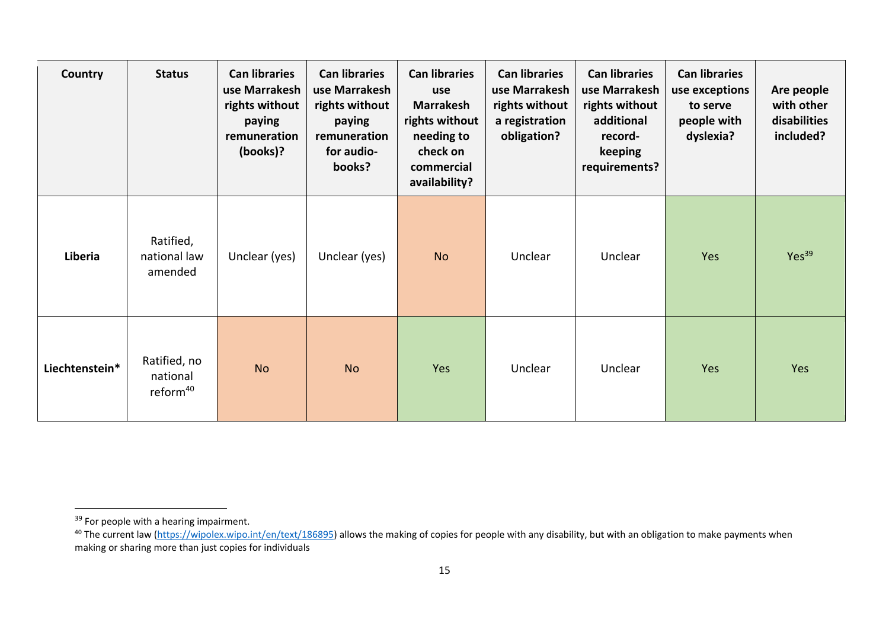| Country        | <b>Status</b>                                    | <b>Can libraries</b><br>use Marrakesh<br>rights without<br>paying<br>remuneration<br>(books)? | <b>Can libraries</b><br>use Marrakesh<br>rights without<br>paying<br>remuneration<br>for audio-<br>books? | <b>Can libraries</b><br>use<br><b>Marrakesh</b><br>rights without<br>needing to<br>check on<br>commercial<br>availability? | <b>Can libraries</b><br>use Marrakesh<br>rights without<br>a registration<br>obligation? | <b>Can libraries</b><br>use Marrakesh<br>rights without<br>additional<br>record-<br>keeping<br>requirements? | <b>Can libraries</b><br>use exceptions<br>to serve<br>people with<br>dyslexia? | Are people<br>with other<br>disabilities<br>included? |
|----------------|--------------------------------------------------|-----------------------------------------------------------------------------------------------|-----------------------------------------------------------------------------------------------------------|----------------------------------------------------------------------------------------------------------------------------|------------------------------------------------------------------------------------------|--------------------------------------------------------------------------------------------------------------|--------------------------------------------------------------------------------|-------------------------------------------------------|
| Liberia        | Ratified,<br>national law<br>amended             | Unclear (yes)                                                                                 | Unclear (yes)                                                                                             | <b>No</b>                                                                                                                  | Unclear                                                                                  | Unclear                                                                                                      | Yes                                                                            | Yes <sup>39</sup>                                     |
| Liechtenstein* | Ratified, no<br>national<br>reform <sup>40</sup> | <b>No</b>                                                                                     | <b>No</b>                                                                                                 | Yes                                                                                                                        | Unclear                                                                                  | Unclear                                                                                                      | Yes                                                                            | Yes                                                   |

<sup>&</sup>lt;sup>39</sup> For people with a hearing impairment.

<sup>&</sup>lt;sup>40</sup> The current law [\(https://wipolex.wipo.int/en/text/186895\)](https://wipolex.wipo.int/en/text/186895) allows the making of copies for people with any disability, but with an obligation to make payments when making or sharing more than just copies for individuals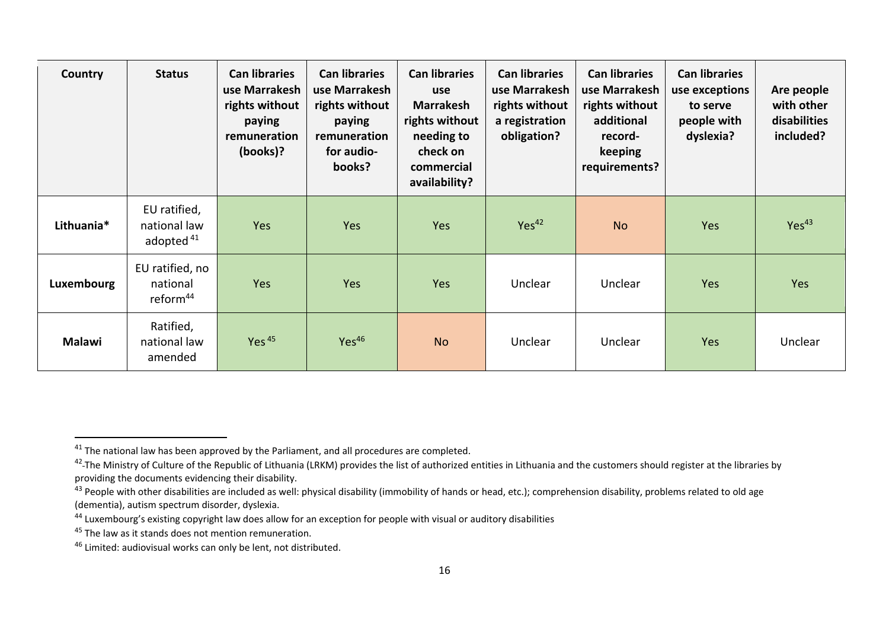| Country       | <b>Status</b>                                         | <b>Can libraries</b><br>use Marrakesh<br>rights without<br>paying<br>remuneration<br>(books)? | <b>Can libraries</b><br>use Marrakesh<br>rights without<br>paying<br>remuneration<br>for audio-<br>books? | <b>Can libraries</b><br>use<br><b>Marrakesh</b><br>rights without<br>needing to<br>check on<br>commercial<br>availability? | <b>Can libraries</b><br>use Marrakesh<br>rights without<br>a registration<br>obligation? | <b>Can libraries</b><br>use Marrakesh<br>rights without<br>additional<br>record-<br>keeping<br>requirements? | <b>Can libraries</b><br>use exceptions<br>to serve<br>people with<br>dyslexia? | Are people<br>with other<br>disabilities<br>included? |
|---------------|-------------------------------------------------------|-----------------------------------------------------------------------------------------------|-----------------------------------------------------------------------------------------------------------|----------------------------------------------------------------------------------------------------------------------------|------------------------------------------------------------------------------------------|--------------------------------------------------------------------------------------------------------------|--------------------------------------------------------------------------------|-------------------------------------------------------|
| Lithuania*    | EU ratified,<br>national law<br>adopted <sup>41</sup> | <b>Yes</b>                                                                                    | Yes                                                                                                       | Yes                                                                                                                        | Yes <sup>42</sup>                                                                        | <b>No</b>                                                                                                    | Yes                                                                            | Yes <sup>43</sup>                                     |
| Luxembourg    | EU ratified, no<br>national<br>reform <sup>44</sup>   | Yes                                                                                           | Yes                                                                                                       | Yes                                                                                                                        | Unclear                                                                                  | Unclear                                                                                                      | Yes                                                                            | Yes                                                   |
| <b>Malawi</b> | Ratified,<br>national law<br>amended                  | Yes $45$                                                                                      | Yes <sup>46</sup>                                                                                         | <b>No</b>                                                                                                                  | Unclear                                                                                  | Unclear                                                                                                      | Yes                                                                            | Unclear                                               |

<sup>&</sup>lt;sup>41</sup> The national law has been approved by the Parliament, and all procedures are completed.

<sup>&</sup>lt;sup>42</sup>-The Ministry of Culture of the Republic of Lithuania (LRKM) provides the list of authorized entities in Lithuania and the customers should register at the libraries by providing the documents evidencing their disability.

<sup>&</sup>lt;sup>43</sup> People with other disabilities are included as well: physical disability (immobility of hands or head, etc.); comprehension disability, problems related to old age (dementia), autism spectrum disorder, dyslexia.

<sup>&</sup>lt;sup>44</sup> Luxembourg's existing copyright law does allow for an exception for people with visual or auditory disabilities

<sup>&</sup>lt;sup>45</sup> The law as it stands does not mention remuneration.

<sup>46</sup> Limited: audiovisual works can only be lent, not distributed.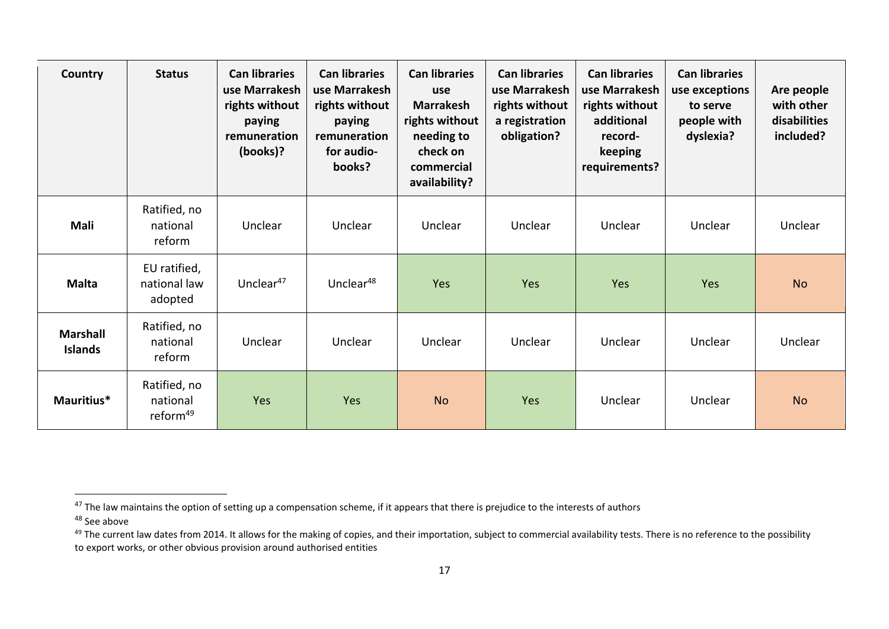| Country                           | <b>Status</b>                                    | <b>Can libraries</b><br>use Marrakesh<br>rights without<br>paying<br>remuneration<br>(books)? | <b>Can libraries</b><br>use Marrakesh<br>rights without<br>paying<br>remuneration<br>for audio-<br>books? | <b>Can libraries</b><br>use<br><b>Marrakesh</b><br>rights without<br>needing to<br>check on<br>commercial<br>availability? | <b>Can libraries</b><br>use Marrakesh<br>rights without<br>a registration<br>obligation? | <b>Can libraries</b><br>use Marrakesh<br>rights without<br>additional<br>record-<br>keeping<br>requirements? | <b>Can libraries</b><br>use exceptions<br>to serve<br>people with<br>dyslexia? | Are people<br>with other<br>disabilities<br>included? |
|-----------------------------------|--------------------------------------------------|-----------------------------------------------------------------------------------------------|-----------------------------------------------------------------------------------------------------------|----------------------------------------------------------------------------------------------------------------------------|------------------------------------------------------------------------------------------|--------------------------------------------------------------------------------------------------------------|--------------------------------------------------------------------------------|-------------------------------------------------------|
| Mali                              | Ratified, no<br>national<br>reform               | Unclear                                                                                       | Unclear                                                                                                   | Unclear                                                                                                                    | Unclear                                                                                  | Unclear                                                                                                      | Unclear                                                                        | Unclear                                               |
| <b>Malta</b>                      | EU ratified,<br>national law<br>adopted          | Unclear <sup>47</sup>                                                                         | Unclear <sup>48</sup>                                                                                     | Yes                                                                                                                        | Yes                                                                                      | Yes                                                                                                          | Yes                                                                            | <b>No</b>                                             |
| <b>Marshall</b><br><b>Islands</b> | Ratified, no<br>national<br>reform               | Unclear                                                                                       | Unclear                                                                                                   | Unclear                                                                                                                    | Unclear                                                                                  | Unclear                                                                                                      | Unclear                                                                        | Unclear                                               |
| Mauritius*                        | Ratified, no<br>national<br>reform <sup>49</sup> | Yes                                                                                           | Yes                                                                                                       | <b>No</b>                                                                                                                  | Yes                                                                                      | Unclear                                                                                                      | Unclear                                                                        | <b>No</b>                                             |

<sup>&</sup>lt;sup>47</sup> The law maintains the option of setting up a compensation scheme, if it appears that there is prejudice to the interests of authors

<sup>48</sup> See above

<sup>&</sup>lt;sup>49</sup> The current law dates from 2014. It allows for the making of copies, and their importation, subject to commercial availability tests. There is no reference to the possibility to export works, or other obvious provision around authorised entities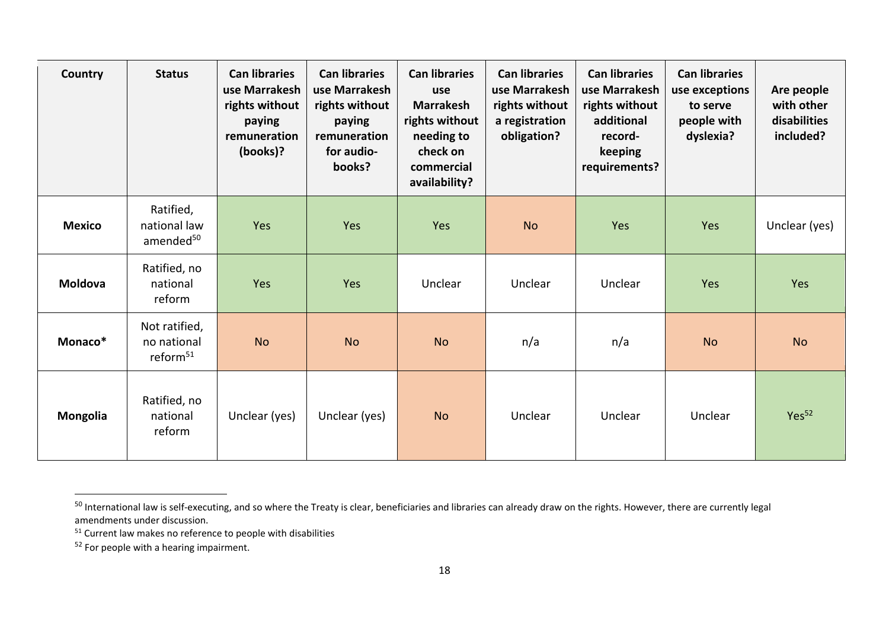| Country        | <b>Status</b>                                        | <b>Can libraries</b><br>use Marrakesh<br>rights without<br>paying<br>remuneration<br>(books)? | <b>Can libraries</b><br>use Marrakesh<br>rights without<br>paying<br>remuneration<br>for audio-<br>books? | <b>Can libraries</b><br>use<br><b>Marrakesh</b><br>rights without<br>needing to<br>check on<br>commercial<br>availability? | <b>Can libraries</b><br>use Marrakesh<br>rights without<br>a registration<br>obligation? | <b>Can libraries</b><br>use Marrakesh<br>rights without<br>additional<br>record-<br>keeping<br>requirements? | <b>Can libraries</b><br>use exceptions<br>to serve<br>people with<br>dyslexia? | Are people<br>with other<br>disabilities<br>included? |
|----------------|------------------------------------------------------|-----------------------------------------------------------------------------------------------|-----------------------------------------------------------------------------------------------------------|----------------------------------------------------------------------------------------------------------------------------|------------------------------------------------------------------------------------------|--------------------------------------------------------------------------------------------------------------|--------------------------------------------------------------------------------|-------------------------------------------------------|
| <b>Mexico</b>  | Ratified,<br>national law<br>amended <sup>50</sup>   | Yes                                                                                           | Yes                                                                                                       | Yes                                                                                                                        | <b>No</b>                                                                                | Yes                                                                                                          | Yes                                                                            | Unclear (yes)                                         |
| <b>Moldova</b> | Ratified, no<br>national<br>reform                   | Yes                                                                                           | Yes                                                                                                       | Unclear                                                                                                                    | Unclear                                                                                  | Unclear                                                                                                      | Yes                                                                            | Yes                                                   |
| Monaco*        | Not ratified,<br>no national<br>reform <sup>51</sup> | <b>No</b>                                                                                     | <b>No</b>                                                                                                 | <b>No</b>                                                                                                                  | n/a                                                                                      | n/a                                                                                                          | <b>No</b>                                                                      | <b>No</b>                                             |
| Mongolia       | Ratified, no<br>national<br>reform                   | Unclear (yes)                                                                                 | Unclear (yes)                                                                                             | <b>No</b>                                                                                                                  | Unclear                                                                                  | Unclear                                                                                                      | Unclear                                                                        | Yes <sup>52</sup>                                     |

<sup>&</sup>lt;sup>50</sup> International law is self-executing, and so where the Treaty is clear, beneficiaries and libraries can already draw on the rights. However, there are currently legal amendments under discussion.

 $51$  Current law makes no reference to people with disabilities

<sup>&</sup>lt;sup>52</sup> For people with a hearing impairment.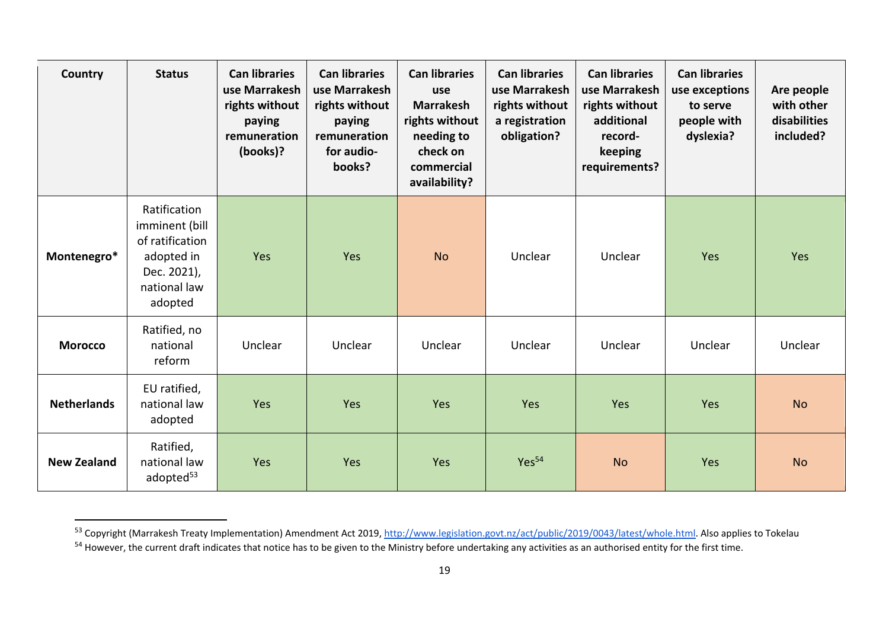| Country            | <b>Status</b>                                                                                             | <b>Can libraries</b><br>use Marrakesh<br>rights without<br>paying<br>remuneration<br>(books)? | <b>Can libraries</b><br>use Marrakesh<br>rights without<br>paying<br>remuneration<br>for audio-<br>books? | <b>Can libraries</b><br>use<br><b>Marrakesh</b><br>rights without<br>needing to<br>check on<br>commercial<br>availability? | <b>Can libraries</b><br>use Marrakesh<br>rights without<br>a registration<br>obligation? | <b>Can libraries</b><br>use Marrakesh<br>rights without<br>additional<br>record-<br>keeping<br>requirements? | <b>Can libraries</b><br>use exceptions<br>to serve<br>people with<br>dyslexia? | Are people<br>with other<br>disabilities<br>included? |
|--------------------|-----------------------------------------------------------------------------------------------------------|-----------------------------------------------------------------------------------------------|-----------------------------------------------------------------------------------------------------------|----------------------------------------------------------------------------------------------------------------------------|------------------------------------------------------------------------------------------|--------------------------------------------------------------------------------------------------------------|--------------------------------------------------------------------------------|-------------------------------------------------------|
| Montenegro*        | Ratification<br>imminent (bill<br>of ratification<br>adopted in<br>Dec. 2021),<br>national law<br>adopted | Yes                                                                                           | Yes                                                                                                       | <b>No</b>                                                                                                                  | Unclear                                                                                  | Unclear                                                                                                      | Yes                                                                            | Yes                                                   |
| <b>Morocco</b>     | Ratified, no<br>national<br>reform                                                                        | Unclear                                                                                       | Unclear                                                                                                   | Unclear                                                                                                                    | Unclear                                                                                  | Unclear                                                                                                      | Unclear                                                                        | Unclear                                               |
| <b>Netherlands</b> | EU ratified,<br>national law<br>adopted                                                                   | Yes                                                                                           | Yes                                                                                                       | Yes                                                                                                                        | Yes                                                                                      | Yes                                                                                                          | Yes                                                                            | <b>No</b>                                             |
| <b>New Zealand</b> | Ratified,<br>national law<br>adopted <sup>53</sup>                                                        | Yes                                                                                           | Yes                                                                                                       | Yes                                                                                                                        | Yes <sup>54</sup>                                                                        | <b>No</b>                                                                                                    | Yes                                                                            | <b>No</b>                                             |

<sup>53</sup> Copyright (Marrakesh Treaty Implementation) Amendment Act 2019, [http://www.legislation.govt.nz/act/public/2019/0043/latest/whole.html.](http://www.legislation.govt.nz/act/public/2019/0043/latest/whole.html) Also applies to Tokelau

<sup>&</sup>lt;sup>54</sup> However, the current draft indicates that notice has to be given to the Ministry before undertaking any activities as an authorised entity for the first time.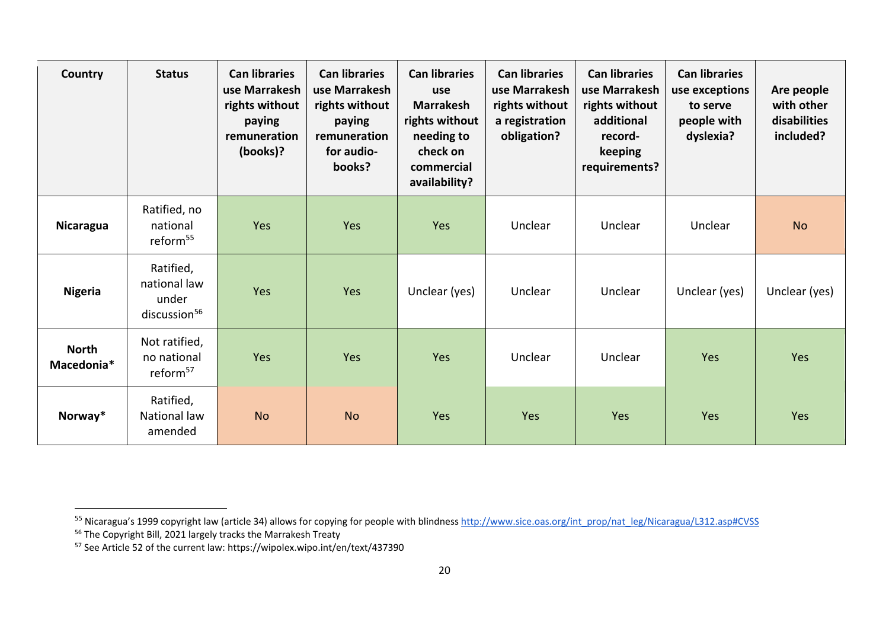| Country                    | <b>Status</b>                                                  | <b>Can libraries</b><br>use Marrakesh<br>rights without<br>paying<br>remuneration<br>(books)? | <b>Can libraries</b><br>use Marrakesh<br>rights without<br>paying<br>remuneration<br>for audio-<br>books? | <b>Can libraries</b><br>use<br><b>Marrakesh</b><br>rights without<br>needing to<br>check on<br>commercial<br>availability? | <b>Can libraries</b><br>use Marrakesh<br>rights without<br>a registration<br>obligation? | <b>Can libraries</b><br>use Marrakesh<br>rights without<br>additional<br>record-<br>keeping<br>requirements? | <b>Can libraries</b><br>use exceptions<br>to serve<br>people with<br>dyslexia? | Are people<br>with other<br>disabilities<br>included? |
|----------------------------|----------------------------------------------------------------|-----------------------------------------------------------------------------------------------|-----------------------------------------------------------------------------------------------------------|----------------------------------------------------------------------------------------------------------------------------|------------------------------------------------------------------------------------------|--------------------------------------------------------------------------------------------------------------|--------------------------------------------------------------------------------|-------------------------------------------------------|
| <b>Nicaragua</b>           | Ratified, no<br>national<br>reform <sup>55</sup>               | Yes                                                                                           | Yes                                                                                                       | Yes                                                                                                                        | Unclear                                                                                  | Unclear                                                                                                      | Unclear                                                                        | <b>No</b>                                             |
| <b>Nigeria</b>             | Ratified,<br>national law<br>under<br>discussion <sup>56</sup> | Yes                                                                                           | Yes                                                                                                       | Unclear (yes)                                                                                                              | Unclear                                                                                  | Unclear                                                                                                      | Unclear (yes)                                                                  | Unclear (yes)                                         |
| <b>North</b><br>Macedonia* | Not ratified,<br>no national<br>reform <sup>57</sup>           | Yes                                                                                           | Yes                                                                                                       | Yes                                                                                                                        | Unclear                                                                                  | Unclear                                                                                                      | Yes                                                                            | Yes                                                   |
| Norway*                    | Ratified,<br>National law<br>amended                           | <b>No</b>                                                                                     | <b>No</b>                                                                                                 | <b>Yes</b>                                                                                                                 | Yes                                                                                      | Yes                                                                                                          | Yes                                                                            | Yes                                                   |

<sup>&</sup>lt;sup>55</sup> Nicaragua's 1999 copyright law (article 34) allows for copying for people with blindness <u>http://www.sice.oas.org/int\_prop/nat\_leg/Nicaragua/L312.asp#CVSS</u>

<sup>&</sup>lt;sup>56</sup> The Copyright Bill, 2021 largely tracks the Marrakesh Treaty

<sup>&</sup>lt;sup>57</sup> See Article 52 of the current law: https://wipolex.wipo.int/en/text/437390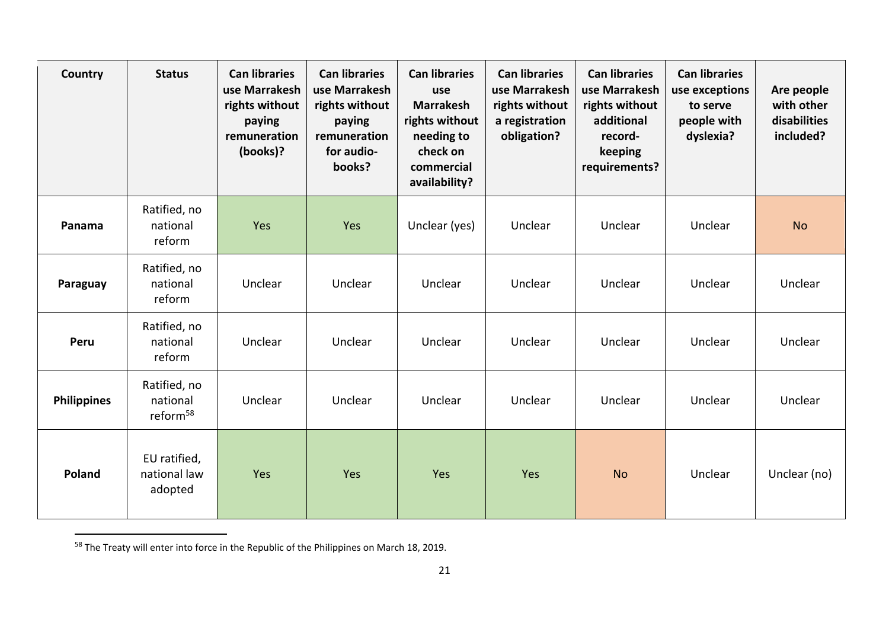| Country            | <b>Status</b>                                    | <b>Can libraries</b><br>use Marrakesh<br>rights without<br>paying<br>remuneration<br>(books)? | <b>Can libraries</b><br>use Marrakesh<br>rights without<br>paying<br>remuneration<br>for audio-<br>books? | <b>Can libraries</b><br>use<br><b>Marrakesh</b><br>rights without<br>needing to<br>check on<br>commercial<br>availability? | <b>Can libraries</b><br>use Marrakesh<br>rights without<br>a registration<br>obligation? | <b>Can libraries</b><br>use Marrakesh<br>rights without<br>additional<br>record-<br>keeping<br>requirements? | <b>Can libraries</b><br>use exceptions<br>to serve<br>people with<br>dyslexia? | Are people<br>with other<br>disabilities<br>included? |
|--------------------|--------------------------------------------------|-----------------------------------------------------------------------------------------------|-----------------------------------------------------------------------------------------------------------|----------------------------------------------------------------------------------------------------------------------------|------------------------------------------------------------------------------------------|--------------------------------------------------------------------------------------------------------------|--------------------------------------------------------------------------------|-------------------------------------------------------|
| Panama             | Ratified, no<br>national<br>reform               | Yes                                                                                           | Yes                                                                                                       | Unclear (yes)                                                                                                              | Unclear                                                                                  | Unclear                                                                                                      | Unclear                                                                        | <b>No</b>                                             |
| Paraguay           | Ratified, no<br>national<br>reform               | Unclear                                                                                       | Unclear                                                                                                   | Unclear                                                                                                                    | Unclear                                                                                  | Unclear                                                                                                      | Unclear                                                                        | Unclear                                               |
| Peru               | Ratified, no<br>national<br>reform               | Unclear                                                                                       | Unclear                                                                                                   | Unclear                                                                                                                    | Unclear                                                                                  | Unclear                                                                                                      | Unclear                                                                        | Unclear                                               |
| <b>Philippines</b> | Ratified, no<br>national<br>reform <sup>58</sup> | Unclear                                                                                       | Unclear                                                                                                   | Unclear                                                                                                                    | Unclear                                                                                  | Unclear                                                                                                      | Unclear                                                                        | Unclear                                               |
| <b>Poland</b>      | EU ratified,<br>national law<br>adopted          | Yes                                                                                           | Yes                                                                                                       | Yes                                                                                                                        | Yes                                                                                      | <b>No</b>                                                                                                    | Unclear                                                                        | Unclear (no)                                          |

<sup>58</sup> The Treaty will enter into force in the Republic of the Philippines on March 18, 2019.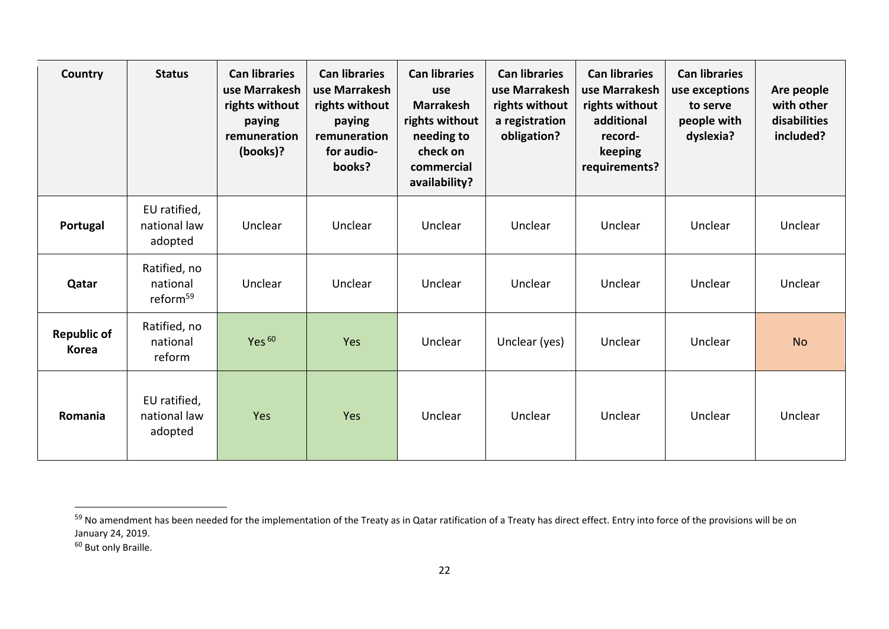| Country                            | <b>Status</b>                                    | <b>Can libraries</b><br>use Marrakesh<br>rights without<br>paying<br>remuneration<br>(books)? | <b>Can libraries</b><br>use Marrakesh<br>rights without<br>paying<br>remuneration<br>for audio-<br>books? | <b>Can libraries</b><br>use<br><b>Marrakesh</b><br>rights without<br>needing to<br>check on<br>commercial<br>availability? | <b>Can libraries</b><br>use Marrakesh<br>rights without<br>a registration<br>obligation? | <b>Can libraries</b><br>use Marrakesh<br>rights without<br>additional<br>record-<br>keeping<br>requirements? | <b>Can libraries</b><br>use exceptions<br>to serve<br>people with<br>dyslexia? | Are people<br>with other<br>disabilities<br>included? |
|------------------------------------|--------------------------------------------------|-----------------------------------------------------------------------------------------------|-----------------------------------------------------------------------------------------------------------|----------------------------------------------------------------------------------------------------------------------------|------------------------------------------------------------------------------------------|--------------------------------------------------------------------------------------------------------------|--------------------------------------------------------------------------------|-------------------------------------------------------|
| Portugal                           | EU ratified,<br>national law<br>adopted          | Unclear                                                                                       | Unclear                                                                                                   | Unclear                                                                                                                    | Unclear                                                                                  | Unclear                                                                                                      | Unclear                                                                        | Unclear                                               |
| Qatar                              | Ratified, no<br>national<br>reform <sup>59</sup> | Unclear                                                                                       | Unclear                                                                                                   | Unclear                                                                                                                    | Unclear                                                                                  | Unclear                                                                                                      | Unclear                                                                        | Unclear                                               |
| <b>Republic of</b><br><b>Korea</b> | Ratified, no<br>national<br>reform               | Yes <sup>60</sup>                                                                             | Yes                                                                                                       | Unclear                                                                                                                    | Unclear (yes)                                                                            | Unclear                                                                                                      | Unclear                                                                        | <b>No</b>                                             |
| Romania                            | EU ratified,<br>national law<br>adopted          | Yes                                                                                           | Yes                                                                                                       | Unclear                                                                                                                    | Unclear                                                                                  | Unclear                                                                                                      | Unclear                                                                        | Unclear                                               |

<sup>&</sup>lt;sup>59</sup> No amendment has been needed for the implementation of the Treaty as in Qatar ratification of a Treaty has direct effect. Entry into force of the provisions will be on January 24, 2019.

<sup>60</sup> But only Braille.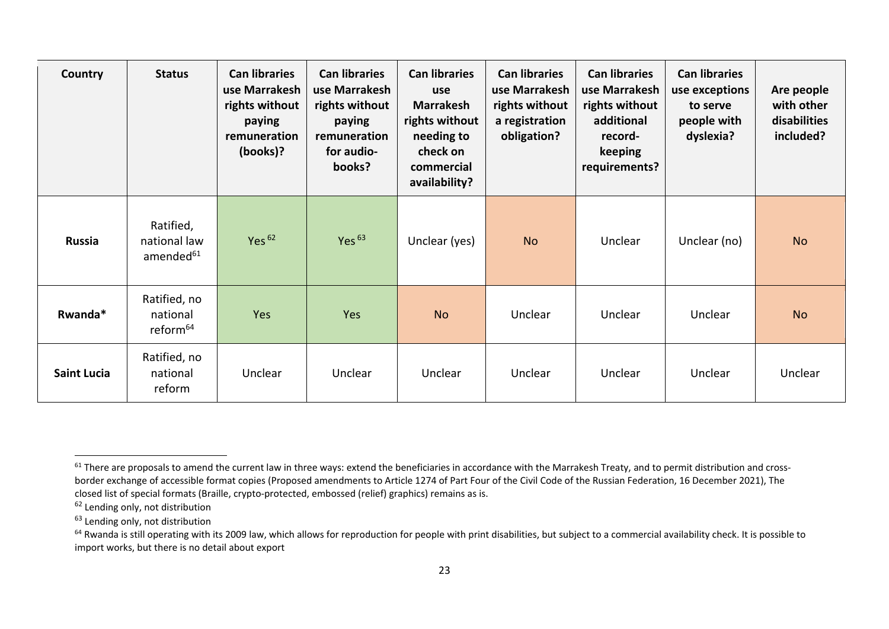| Country            | <b>Status</b>                                      | <b>Can libraries</b><br>use Marrakesh<br>rights without<br>paying<br>remuneration<br>(books)? | <b>Can libraries</b><br>use Marrakesh<br>rights without<br>paying<br>remuneration<br>for audio-<br>books? | <b>Can libraries</b><br>use<br><b>Marrakesh</b><br>rights without<br>needing to<br>check on<br>commercial<br>availability? | <b>Can libraries</b><br>use Marrakesh<br>rights without<br>a registration<br>obligation? | <b>Can libraries</b><br>use Marrakesh<br>rights without<br>additional<br>record-<br>keeping<br>requirements? | <b>Can libraries</b><br>use exceptions<br>to serve<br>people with<br>dyslexia? | Are people<br>with other<br>disabilities<br>included? |
|--------------------|----------------------------------------------------|-----------------------------------------------------------------------------------------------|-----------------------------------------------------------------------------------------------------------|----------------------------------------------------------------------------------------------------------------------------|------------------------------------------------------------------------------------------|--------------------------------------------------------------------------------------------------------------|--------------------------------------------------------------------------------|-------------------------------------------------------|
| <b>Russia</b>      | Ratified,<br>national law<br>amended <sup>61</sup> | Yes $62$                                                                                      | Yes $63$                                                                                                  | Unclear (yes)                                                                                                              | <b>No</b>                                                                                | Unclear                                                                                                      | Unclear (no)                                                                   | <b>No</b>                                             |
| Rwanda*            | Ratified, no<br>national<br>reform <sup>64</sup>   | Yes                                                                                           | Yes                                                                                                       | <b>No</b>                                                                                                                  | Unclear                                                                                  | Unclear                                                                                                      | Unclear                                                                        | <b>No</b>                                             |
| <b>Saint Lucia</b> | Ratified, no<br>national<br>reform                 | Unclear                                                                                       | Unclear                                                                                                   | Unclear                                                                                                                    | Unclear                                                                                  | Unclear                                                                                                      | Unclear                                                                        | Unclear                                               |

<sup>&</sup>lt;sup>61</sup> There are proposals to amend the current law in three ways: extend the beneficiaries in accordance with the Marrakesh Treaty, and to permit distribution and crossborder exchange of accessible format copies (Proposed amendments to Article 1274 of Part Four of the Civil Code of the Russian Federation, 16 December 2021), The closed list of special formats (Braille, crypto-protected, embossed (relief) graphics) remains as is.

<sup>&</sup>lt;sup>62</sup> Lending only, not distribution

 $63$  Lending only, not distribution

<sup>&</sup>lt;sup>64</sup> Rwanda is still operating with its 2009 law, which allows for reproduction for people with print disabilities, but subject to a commercial availability check. It is possible to import works, but there is no detail about export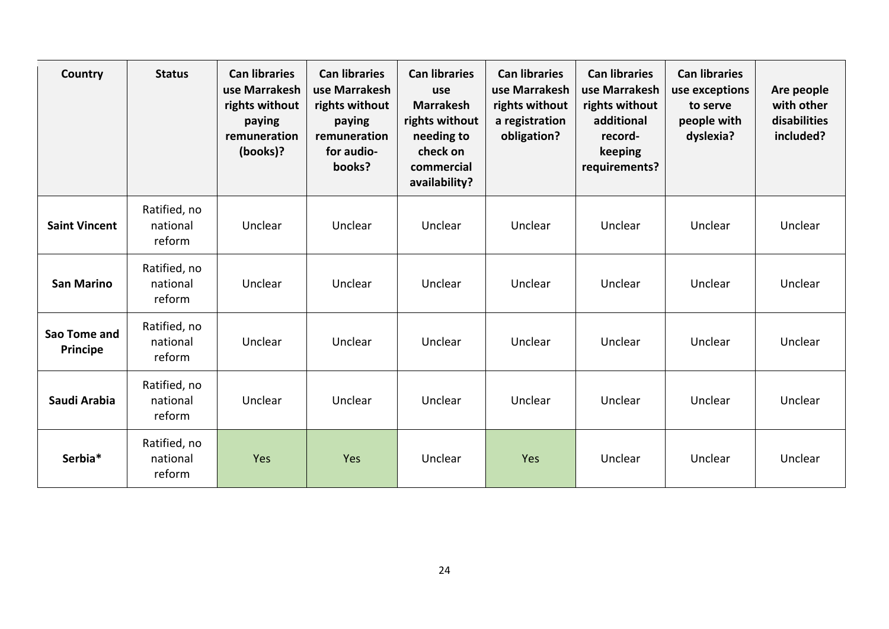| Country                         | <b>Status</b>                      | <b>Can libraries</b><br>use Marrakesh<br>rights without<br>paying<br>remuneration<br>(books)? | <b>Can libraries</b><br>use Marrakesh<br>rights without<br>paying<br>remuneration<br>for audio-<br>books? | <b>Can libraries</b><br>use<br><b>Marrakesh</b><br>rights without<br>needing to<br>check on<br>commercial<br>availability? | <b>Can libraries</b><br>use Marrakesh<br>rights without<br>a registration<br>obligation? | <b>Can libraries</b><br>use Marrakesh<br>rights without<br>additional<br>record-<br>keeping<br>requirements? | <b>Can libraries</b><br>use exceptions<br>to serve<br>people with<br>dyslexia? | Are people<br>with other<br>disabilities<br>included? |
|---------------------------------|------------------------------------|-----------------------------------------------------------------------------------------------|-----------------------------------------------------------------------------------------------------------|----------------------------------------------------------------------------------------------------------------------------|------------------------------------------------------------------------------------------|--------------------------------------------------------------------------------------------------------------|--------------------------------------------------------------------------------|-------------------------------------------------------|
| <b>Saint Vincent</b>            | Ratified, no<br>national<br>reform | Unclear                                                                                       | Unclear                                                                                                   | Unclear                                                                                                                    | Unclear                                                                                  | Unclear                                                                                                      | Unclear                                                                        | Unclear                                               |
| <b>San Marino</b>               | Ratified, no<br>national<br>reform | Unclear                                                                                       | Unclear                                                                                                   | Unclear                                                                                                                    | Unclear                                                                                  | Unclear                                                                                                      | Unclear                                                                        | Unclear                                               |
| Sao Tome and<br><b>Principe</b> | Ratified, no<br>national<br>reform | Unclear                                                                                       | Unclear                                                                                                   | Unclear                                                                                                                    | Unclear                                                                                  | Unclear                                                                                                      | Unclear                                                                        | Unclear                                               |
| Saudi Arabia                    | Ratified, no<br>national<br>reform | Unclear                                                                                       | Unclear                                                                                                   | Unclear                                                                                                                    | Unclear                                                                                  | Unclear                                                                                                      | Unclear                                                                        | Unclear                                               |
| Serbia*                         | Ratified, no<br>national<br>reform | Yes                                                                                           | Yes                                                                                                       | Unclear                                                                                                                    | Yes                                                                                      | Unclear                                                                                                      | Unclear                                                                        | Unclear                                               |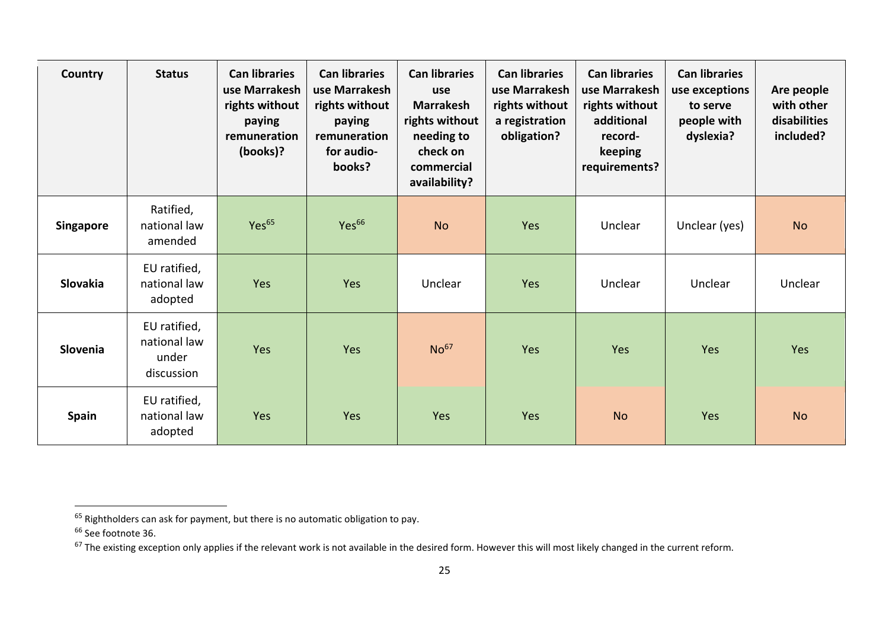| Country          | <b>Status</b>                                       | <b>Can libraries</b><br>use Marrakesh<br>rights without<br>paying<br>remuneration<br>(books)? | <b>Can libraries</b><br>use Marrakesh<br>rights without<br>paying<br>remuneration<br>for audio-<br>books? | <b>Can libraries</b><br>use<br><b>Marrakesh</b><br>rights without<br>needing to<br>check on<br>commercial<br>availability? | <b>Can libraries</b><br>use Marrakesh<br>rights without<br>a registration<br>obligation? | <b>Can libraries</b><br>use Marrakesh<br>rights without<br>additional<br>record-<br>keeping<br>requirements? | <b>Can libraries</b><br>use exceptions<br>to serve<br>people with<br>dyslexia? | Are people<br>with other<br>disabilities<br>included? |
|------------------|-----------------------------------------------------|-----------------------------------------------------------------------------------------------|-----------------------------------------------------------------------------------------------------------|----------------------------------------------------------------------------------------------------------------------------|------------------------------------------------------------------------------------------|--------------------------------------------------------------------------------------------------------------|--------------------------------------------------------------------------------|-------------------------------------------------------|
| <b>Singapore</b> | Ratified,<br>national law<br>amended                | Yes <sup>65</sup>                                                                             | Yes <sup>66</sup>                                                                                         | <b>No</b>                                                                                                                  | Yes                                                                                      | Unclear                                                                                                      | Unclear (yes)                                                                  | <b>No</b>                                             |
| Slovakia         | EU ratified,<br>national law<br>adopted             | Yes                                                                                           | Yes                                                                                                       | Unclear                                                                                                                    | <b>Yes</b>                                                                               | Unclear                                                                                                      | Unclear                                                                        | Unclear                                               |
| <b>Slovenia</b>  | EU ratified,<br>national law<br>under<br>discussion | Yes                                                                                           | Yes                                                                                                       | No <sup>67</sup>                                                                                                           | Yes                                                                                      | Yes                                                                                                          | Yes                                                                            | Yes                                                   |
| <b>Spain</b>     | EU ratified,<br>national law<br>adopted             | Yes                                                                                           | Yes                                                                                                       | Yes                                                                                                                        | Yes                                                                                      | <b>No</b>                                                                                                    | Yes                                                                            | <b>No</b>                                             |

 $^{65}$  Rightholders can ask for payment, but there is no automatic obligation to pay.

<sup>&</sup>lt;sup>66</sup> See footnote 36.

 $67$  The existing exception only applies if the relevant work is not available in the desired form. However this will most likely changed in the current reform.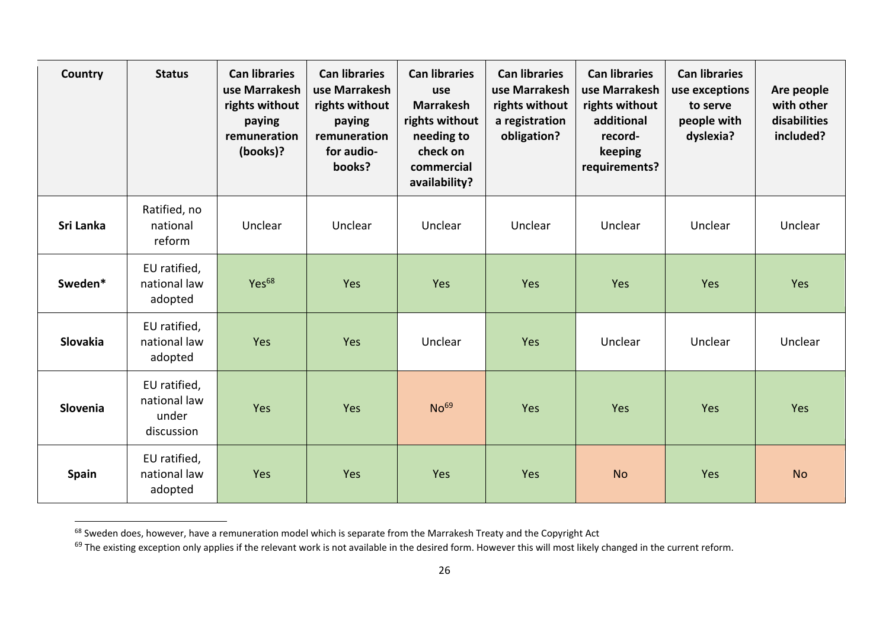| Country      | <b>Status</b>                                       | <b>Can libraries</b><br>use Marrakesh<br>rights without<br>paying<br>remuneration<br>(books)? | <b>Can libraries</b><br>use Marrakesh<br>rights without<br>paying<br>remuneration<br>for audio-<br>books? | <b>Can libraries</b><br>use<br><b>Marrakesh</b><br>rights without<br>needing to<br>check on<br>commercial<br>availability? | <b>Can libraries</b><br>use Marrakesh<br>rights without<br>a registration<br>obligation? | <b>Can libraries</b><br>use Marrakesh<br>rights without<br>additional<br>record-<br>keeping<br>requirements? | <b>Can libraries</b><br>use exceptions<br>to serve<br>people with<br>dyslexia? | Are people<br>with other<br>disabilities<br>included? |
|--------------|-----------------------------------------------------|-----------------------------------------------------------------------------------------------|-----------------------------------------------------------------------------------------------------------|----------------------------------------------------------------------------------------------------------------------------|------------------------------------------------------------------------------------------|--------------------------------------------------------------------------------------------------------------|--------------------------------------------------------------------------------|-------------------------------------------------------|
| Sri Lanka    | Ratified, no<br>national<br>reform                  | Unclear                                                                                       | Unclear                                                                                                   | Unclear                                                                                                                    | Unclear                                                                                  | Unclear                                                                                                      | Unclear                                                                        | Unclear                                               |
| Sweden*      | EU ratified,<br>national law<br>adopted             | Yes <sup>68</sup>                                                                             | Yes                                                                                                       | Yes                                                                                                                        | Yes                                                                                      | Yes                                                                                                          | Yes                                                                            | Yes                                                   |
| Slovakia     | EU ratified,<br>national law<br>adopted             | Yes                                                                                           | Yes                                                                                                       | Unclear                                                                                                                    | Yes                                                                                      | Unclear                                                                                                      | Unclear                                                                        | Unclear                                               |
| Slovenia     | EU ratified,<br>national law<br>under<br>discussion | Yes                                                                                           | Yes                                                                                                       | No <sup>69</sup>                                                                                                           | Yes                                                                                      | Yes                                                                                                          | Yes                                                                            | Yes                                                   |
| <b>Spain</b> | EU ratified,<br>national law<br>adopted             | Yes                                                                                           | Yes                                                                                                       | Yes                                                                                                                        | Yes                                                                                      | <b>No</b>                                                                                                    | Yes                                                                            | <b>No</b>                                             |

<sup>68</sup> Sweden does, however, have a remuneration model which is separate from the Marrakesh Treaty and the Copyright Act

Sweden abov, nowerer, nore a remeneration model military repairing the desired form. However this will most likely changed in the current reform.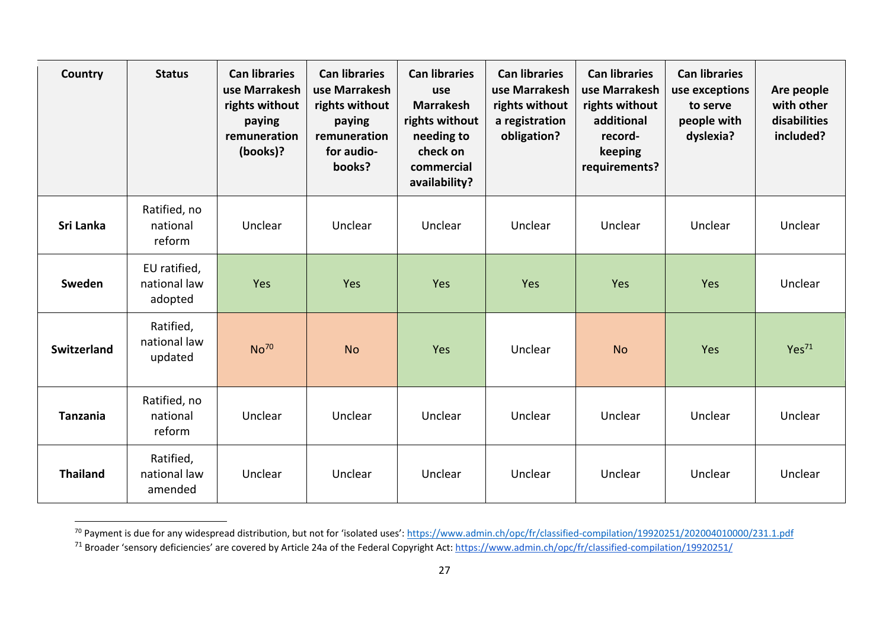| Country            | <b>Status</b>                           | <b>Can libraries</b><br>use Marrakesh<br>rights without<br>paying<br>remuneration<br>(books)? | <b>Can libraries</b><br>use Marrakesh<br>rights without<br>paying<br>remuneration<br>for audio-<br>books? | <b>Can libraries</b><br>use<br><b>Marrakesh</b><br>rights without<br>needing to<br>check on<br>commercial<br>availability? | <b>Can libraries</b><br>use Marrakesh<br>rights without<br>a registration<br>obligation? | <b>Can libraries</b><br>use Marrakesh<br>rights without<br>additional<br>record-<br>keeping<br>requirements? | <b>Can libraries</b><br>use exceptions<br>to serve<br>people with<br>dyslexia? | Are people<br>with other<br>disabilities<br>included? |
|--------------------|-----------------------------------------|-----------------------------------------------------------------------------------------------|-----------------------------------------------------------------------------------------------------------|----------------------------------------------------------------------------------------------------------------------------|------------------------------------------------------------------------------------------|--------------------------------------------------------------------------------------------------------------|--------------------------------------------------------------------------------|-------------------------------------------------------|
| Sri Lanka          | Ratified, no<br>national<br>reform      | Unclear                                                                                       | Unclear                                                                                                   | Unclear                                                                                                                    | Unclear                                                                                  | Unclear                                                                                                      | Unclear                                                                        | Unclear                                               |
| Sweden             | EU ratified,<br>national law<br>adopted | Yes                                                                                           | Yes                                                                                                       | Yes                                                                                                                        | Yes                                                                                      | Yes                                                                                                          | Yes                                                                            | Unclear                                               |
| <b>Switzerland</b> | Ratified,<br>national law<br>updated    | No <sup>70</sup>                                                                              | <b>No</b>                                                                                                 | Yes                                                                                                                        | Unclear                                                                                  | <b>No</b>                                                                                                    | Yes                                                                            | Yes <sup>71</sup>                                     |
| <b>Tanzania</b>    | Ratified, no<br>national<br>reform      | Unclear                                                                                       | Unclear                                                                                                   | Unclear                                                                                                                    | Unclear                                                                                  | Unclear                                                                                                      | Unclear                                                                        | Unclear                                               |
| <b>Thailand</b>    | Ratified,<br>national law<br>amended    | Unclear                                                                                       | Unclear                                                                                                   | Unclear                                                                                                                    | Unclear                                                                                  | Unclear                                                                                                      | Unclear                                                                        | Unclear                                               |

<sup>&</sup>lt;sup>70</sup> Payment is due for any widespread distribution, but not for 'isolated uses': <https://www.admin.ch/opc/fr/classified-compilation/19920251/202004010000/231.1.pdf> <sup>71</sup> Broader 'sensory deficiencies' are covered by Article 24a of the Federal Copyright Act[: https://www.admin.ch/opc/fr/classified-compilation/19920251/](https://www.admin.ch/opc/fr/classified-compilation/19920251/)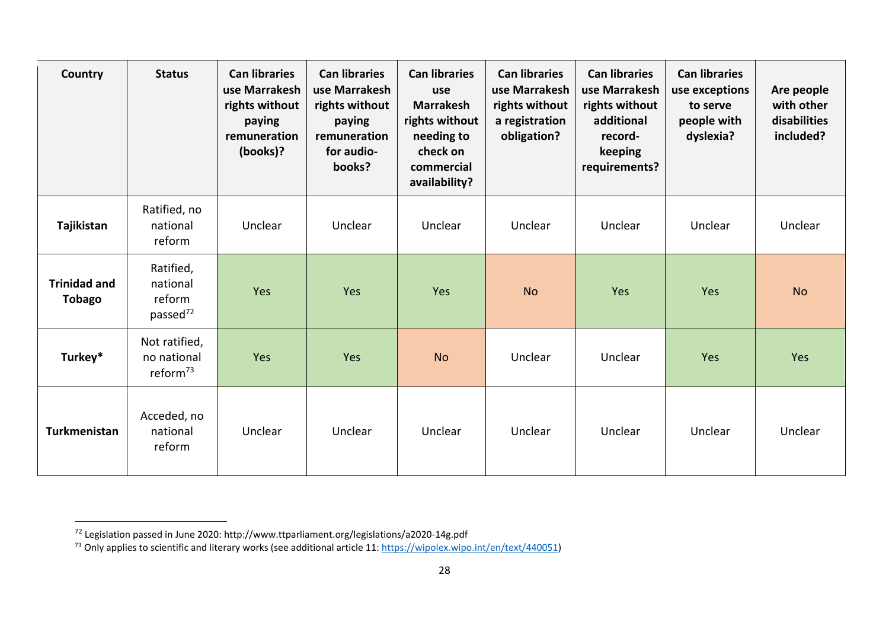| Country                              | <b>Status</b>                                           | <b>Can libraries</b><br>use Marrakesh<br>rights without<br>paying<br>remuneration<br>(books)? | <b>Can libraries</b><br>use Marrakesh<br>rights without<br>paying<br>remuneration<br>for audio-<br>books? | <b>Can libraries</b><br>use<br><b>Marrakesh</b><br>rights without<br>needing to<br>check on<br>commercial<br>availability? | <b>Can libraries</b><br>use Marrakesh<br>rights without<br>a registration<br>obligation? | <b>Can libraries</b><br>use Marrakesh<br>rights without<br>additional<br>record-<br>keeping<br>requirements? | <b>Can libraries</b><br>use exceptions<br>to serve<br>people with<br>dyslexia? | Are people<br>with other<br>disabilities<br>included? |
|--------------------------------------|---------------------------------------------------------|-----------------------------------------------------------------------------------------------|-----------------------------------------------------------------------------------------------------------|----------------------------------------------------------------------------------------------------------------------------|------------------------------------------------------------------------------------------|--------------------------------------------------------------------------------------------------------------|--------------------------------------------------------------------------------|-------------------------------------------------------|
| Tajikistan                           | Ratified, no<br>national<br>reform                      | Unclear                                                                                       | Unclear                                                                                                   | Unclear                                                                                                                    | Unclear                                                                                  | Unclear                                                                                                      | Unclear                                                                        | Unclear                                               |
| <b>Trinidad and</b><br><b>Tobago</b> | Ratified,<br>national<br>reform<br>passed <sup>72</sup> | Yes                                                                                           | Yes                                                                                                       | Yes                                                                                                                        | <b>No</b>                                                                                | Yes                                                                                                          | Yes                                                                            | <b>No</b>                                             |
| Turkey*                              | Not ratified,<br>no national<br>reform <sup>73</sup>    | Yes                                                                                           | Yes                                                                                                       | <b>No</b>                                                                                                                  | Unclear                                                                                  | Unclear                                                                                                      | Yes                                                                            | Yes                                                   |
| Turkmenistan                         | Acceded, no<br>national<br>reform                       | Unclear                                                                                       | Unclear                                                                                                   | Unclear                                                                                                                    | Unclear                                                                                  | Unclear                                                                                                      | Unclear                                                                        | Unclear                                               |

 $^{72}$  Legislation passed in June 2020: http://www.ttparliament.org/legislations/a2020-14g.pdf

<sup>&</sup>lt;sup>73</sup> Only applies to scientific and literary works (see additional article 11[: https://wipolex.wipo.int/en/text/440051\)](https://wipolex.wipo.int/en/text/440051)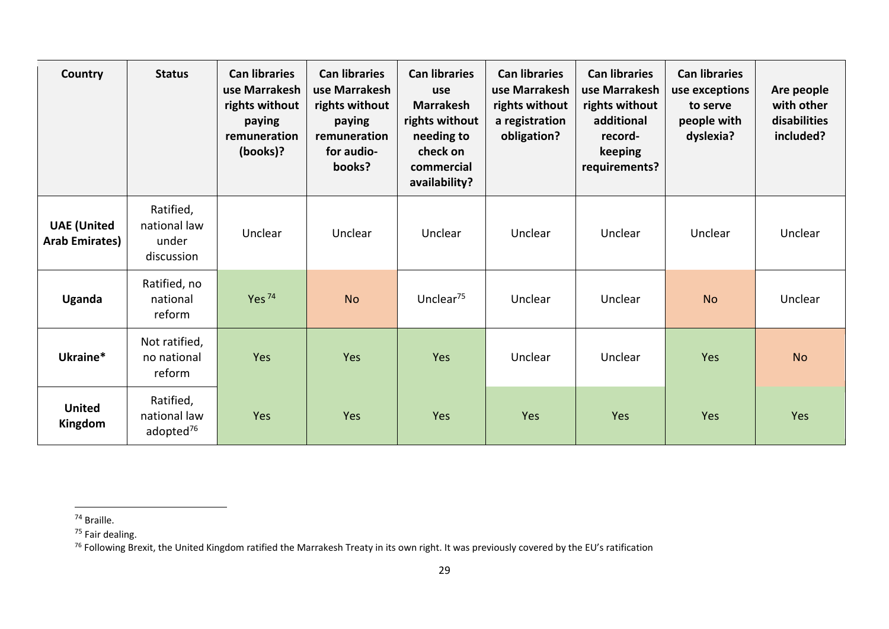| Country                                     | <b>Status</b>                                      | <b>Can libraries</b><br>use Marrakesh<br>rights without<br>paying<br>remuneration<br>(books)? | <b>Can libraries</b><br>use Marrakesh<br>rights without<br>paying<br>remuneration<br>for audio-<br>books? | <b>Can libraries</b><br>use<br><b>Marrakesh</b><br>rights without<br>needing to<br>check on<br>commercial<br>availability? | <b>Can libraries</b><br>use Marrakesh<br>rights without<br>a registration<br>obligation? | <b>Can libraries</b><br>use Marrakesh<br>rights without<br>additional<br>record-<br>keeping<br>requirements? | <b>Can libraries</b><br>use exceptions<br>to serve<br>people with<br>dyslexia? | Are people<br>with other<br>disabilities<br>included? |
|---------------------------------------------|----------------------------------------------------|-----------------------------------------------------------------------------------------------|-----------------------------------------------------------------------------------------------------------|----------------------------------------------------------------------------------------------------------------------------|------------------------------------------------------------------------------------------|--------------------------------------------------------------------------------------------------------------|--------------------------------------------------------------------------------|-------------------------------------------------------|
| <b>UAE</b> (United<br><b>Arab Emirates)</b> | Ratified,<br>national law<br>under<br>discussion   | Unclear                                                                                       | Unclear                                                                                                   | Unclear                                                                                                                    | Unclear                                                                                  | Unclear                                                                                                      | Unclear                                                                        | Unclear                                               |
| Uganda                                      | Ratified, no<br>national<br>reform                 | Yes $74$                                                                                      | <b>No</b>                                                                                                 | Unclear <sup>75</sup>                                                                                                      | Unclear                                                                                  | Unclear                                                                                                      | <b>No</b>                                                                      | Unclear                                               |
| Ukraine*                                    | Not ratified,<br>no national<br>reform             | Yes                                                                                           | Yes                                                                                                       | Yes                                                                                                                        | Unclear                                                                                  | Unclear                                                                                                      | Yes                                                                            | <b>No</b>                                             |
| <b>United</b><br>Kingdom                    | Ratified,<br>national law<br>adopted <sup>76</sup> | Yes                                                                                           | Yes                                                                                                       | Yes                                                                                                                        | Yes                                                                                      | Yes                                                                                                          | Yes                                                                            | Yes                                                   |

<sup>74</sup> Braille.

<sup>&</sup>lt;sup>75</sup> Fair dealing.

<sup>&</sup>lt;sup>76</sup> Following Brexit, the United Kingdom ratified the Marrakesh Treaty in its own right. It was previously covered by the EU's ratification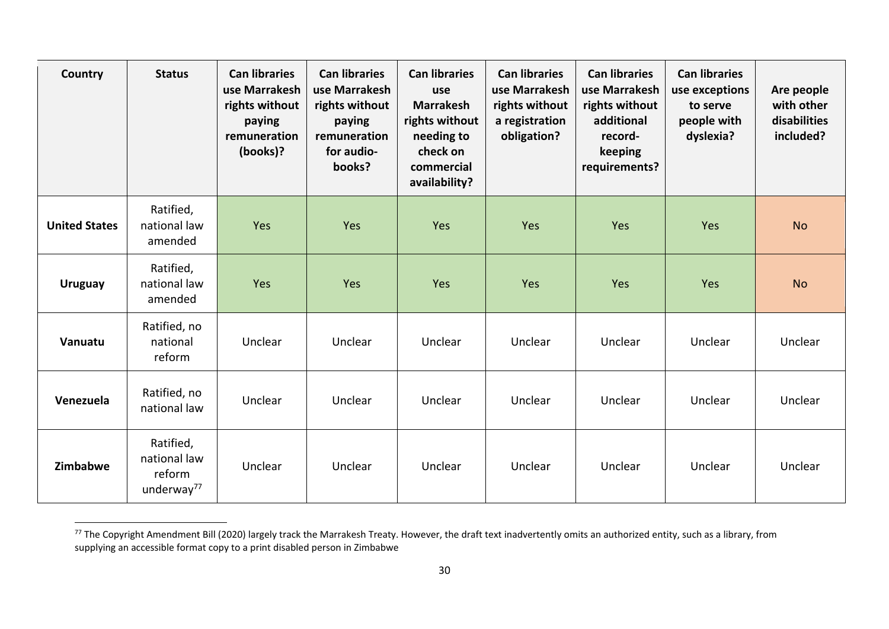| Country              | <b>Status</b>                                                 | <b>Can libraries</b><br>use Marrakesh<br>rights without<br>paying<br>remuneration<br>(books)? | <b>Can libraries</b><br>use Marrakesh<br>rights without<br>paying<br>remuneration<br>for audio-<br>books? | <b>Can libraries</b><br>use<br><b>Marrakesh</b><br>rights without<br>needing to<br>check on<br>commercial<br>availability? | <b>Can libraries</b><br>use Marrakesh<br>rights without<br>a registration<br>obligation? | <b>Can libraries</b><br>use Marrakesh<br>rights without<br>additional<br>record-<br>keeping<br>requirements? | <b>Can libraries</b><br>use exceptions<br>to serve<br>people with<br>dyslexia? | Are people<br>with other<br>disabilities<br>included? |
|----------------------|---------------------------------------------------------------|-----------------------------------------------------------------------------------------------|-----------------------------------------------------------------------------------------------------------|----------------------------------------------------------------------------------------------------------------------------|------------------------------------------------------------------------------------------|--------------------------------------------------------------------------------------------------------------|--------------------------------------------------------------------------------|-------------------------------------------------------|
| <b>United States</b> | Ratified,<br>national law<br>amended                          | Yes                                                                                           | Yes                                                                                                       | Yes                                                                                                                        | Yes                                                                                      | Yes                                                                                                          | Yes                                                                            | <b>No</b>                                             |
| <b>Uruguay</b>       | Ratified,<br>national law<br>amended                          | Yes                                                                                           | Yes                                                                                                       | Yes                                                                                                                        | Yes                                                                                      | Yes                                                                                                          | Yes                                                                            | <b>No</b>                                             |
| Vanuatu              | Ratified, no<br>national<br>reform                            | Unclear                                                                                       | Unclear                                                                                                   | Unclear                                                                                                                    | Unclear                                                                                  | Unclear                                                                                                      | Unclear                                                                        | Unclear                                               |
| Venezuela            | Ratified, no<br>national law                                  | Unclear                                                                                       | Unclear                                                                                                   | Unclear                                                                                                                    | Unclear                                                                                  | Unclear                                                                                                      | Unclear                                                                        | Unclear                                               |
| Zimbabwe             | Ratified,<br>national law<br>reform<br>underway <sup>77</sup> | Unclear                                                                                       | Unclear                                                                                                   | Unclear                                                                                                                    | Unclear                                                                                  | Unclear                                                                                                      | Unclear                                                                        | Unclear                                               |

<sup>&</sup>lt;sup>77</sup> The Copyright Amendment Bill (2020) largely track the Marrakesh Treaty. However, the draft text inadvertently omits an authorized entity, such as a library, from supplying an accessible format copy to a print disabled person in Zimbabwe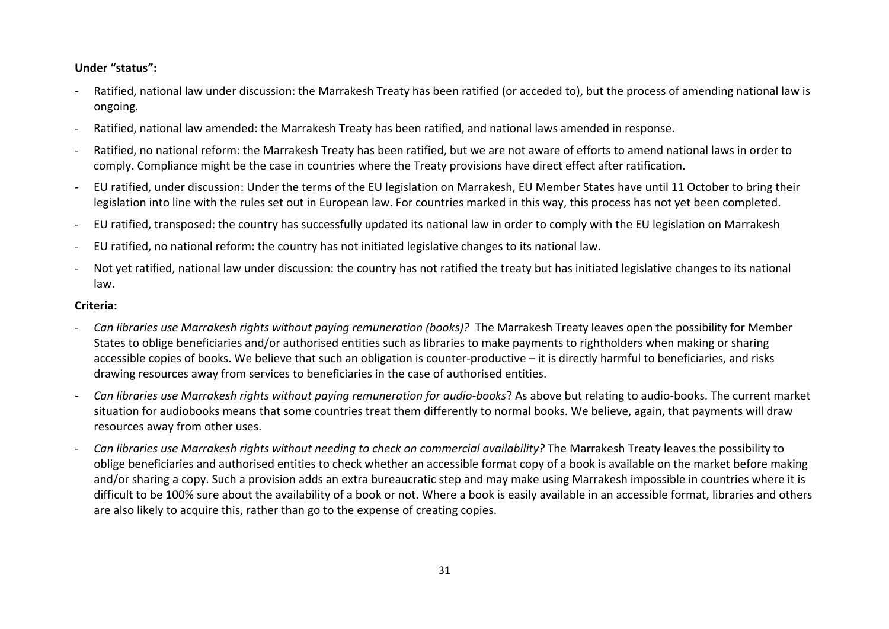## **Under "status":**

- Ratified, national law under discussion: the Marrakesh Treaty has been ratified (or acceded to), but the process of amending national law is ongoing.
- Ratified, national law amended: the Marrakesh Treaty has been ratified, and national laws amended in response.
- Ratified, no national reform: the Marrakesh Treaty has been ratified, but we are not aware of efforts to amend national laws in order to comply. Compliance might be the case in countries where the Treaty provisions have direct effect after ratification.
- EU ratified, under discussion: Under the terms of the EU legislation on Marrakesh, EU Member States have until 11 October to bring their legislation into line with the rules set out in European law. For countries marked in this way, this process has not yet been completed.
- EU ratified, transposed: the country has successfully updated its national law in order to comply with the EU legislation on Marrakesh
- EU ratified, no national reform: the country has not initiated legislative changes to its national law.
- Not yet ratified, national law under discussion: the country has not ratified the treaty but has initiated legislative changes to its national law.

## **Criteria:**

- *Can libraries use Marrakesh rights without paying remuneration (books)?* The Marrakesh Treaty leaves open the possibility for Member States to oblige beneficiaries and/or authorised entities such as libraries to make payments to rightholders when making or sharing accessible copies of books. We believe that such an obligation is counter-productive – it is directly harmful to beneficiaries, and risks drawing resources away from services to beneficiaries in the case of authorised entities.
- *Can libraries use Marrakesh rights without paying remuneration for audio-books*? As above but relating to audio-books. The current market situation for audiobooks means that some countries treat them differently to normal books. We believe, again, that payments will draw resources away from other uses.
- *Can libraries use Marrakesh rights without needing to check on commercial availability?* The Marrakesh Treaty leaves the possibility to oblige beneficiaries and authorised entities to check whether an accessible format copy of a book is available on the market before making and/or sharing a copy. Such a provision adds an extra bureaucratic step and may make using Marrakesh impossible in countries where it is difficult to be 100% sure about the availability of a book or not. Where a book is easily available in an accessible format, libraries and others are also likely to acquire this, rather than go to the expense of creating copies.